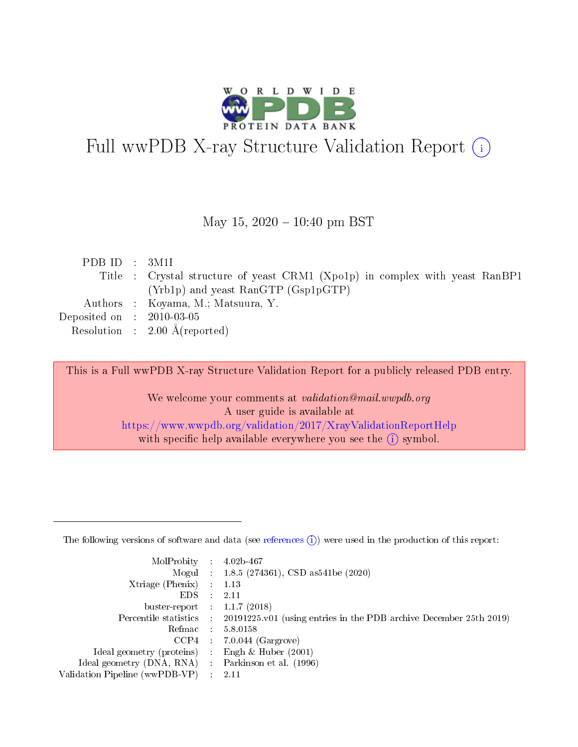

# Full wwPDB X-ray Structure Validation Report (i)

#### May 15,  $2020 - 10:40$  pm BST

| PDBID : 3M1I                |                                                                              |
|-----------------------------|------------------------------------------------------------------------------|
|                             | Title : Crystal structure of yeast CRM1 (Xpo1p) in complex with yeast RanBP1 |
|                             | (Yrb1p) and yeast RanGTP (Gsp1pGTP)                                          |
|                             | Authors : Koyama, M.; Matsuura, Y.                                           |
| Deposited on : $2010-03-05$ |                                                                              |
|                             | Resolution : $2.00 \text{ Å}$ (reported)                                     |
|                             |                                                                              |

This is a Full wwPDB X-ray Structure Validation Report for a publicly released PDB entry.

We welcome your comments at validation@mail.wwpdb.org A user guide is available at <https://www.wwpdb.org/validation/2017/XrayValidationReportHelp> with specific help available everywhere you see the  $(i)$  symbol.

The following versions of software and data (see [references](https://www.wwpdb.org/validation/2017/XrayValidationReportHelp#references)  $(1)$ ) were used in the production of this report:

| MolProbity                     | $\mathcal{L}_{\rm{max}}$ | $4.02b - 467$                                                                |
|--------------------------------|--------------------------|------------------------------------------------------------------------------|
|                                |                          | Mogul : $1.8.5$ (274361), CSD as 541be (2020)                                |
| $X$ triage (Phenix) :          |                          | 1.13                                                                         |
| EDS.                           |                          | 2.11                                                                         |
| buster-report : $1.1.7$ (2018) |                          |                                                                              |
| Percentile statistics :        |                          | $20191225 \text{ v}01$ (using entries in the PDB archive December 25th 2019) |
| Refmac                         |                          | 5.8.0158                                                                     |
| $CCP4$ :                       |                          | $7.0.044$ (Gargrove)                                                         |
| Ideal geometry (proteins) :    |                          | Engh $\&$ Huber (2001)                                                       |
| Ideal geometry (DNA, RNA) :    |                          | Parkinson et al. (1996)                                                      |
| Validation Pipeline (wwPDB-VP) | $\mathcal{L}$            | -2.11                                                                        |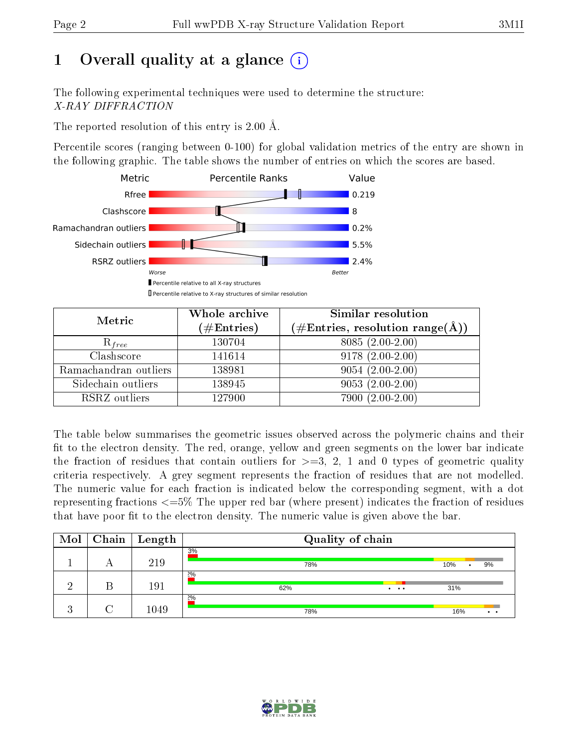# 1 [O](https://www.wwpdb.org/validation/2017/XrayValidationReportHelp#overall_quality)verall quality at a glance  $(i)$

The following experimental techniques were used to determine the structure: X-RAY DIFFRACTION

The reported resolution of this entry is 2.00 Å.

Percentile scores (ranging between 0-100) for global validation metrics of the entry are shown in the following graphic. The table shows the number of entries on which the scores are based.



| Metric                | Whole archive<br>$(\#\text{Entries})$ | Similar resolution<br>$(\#\text{Entries}, \text{resolution range}(\text{\AA}))$ |
|-----------------------|---------------------------------------|---------------------------------------------------------------------------------|
| $R_{free}$            | 130704                                | $8085(2.00-2.00)$                                                               |
| Clashscore            | 141614                                | $9178(2.00-2.00)$                                                               |
| Ramachandran outliers | 138981                                | $9054(2.00-2.00)$                                                               |
| Sidechain outliers    | 138945                                | $9053(2.00-2.00)$                                                               |
| RSRZ outliers         | 127900                                | 7900 (2.00-2.00)                                                                |

The table below summarises the geometric issues observed across the polymeric chains and their fit to the electron density. The red, orange, yellow and green segments on the lower bar indicate the fraction of residues that contain outliers for  $>=3, 2, 1$  and 0 types of geometric quality criteria respectively. A grey segment represents the fraction of residues that are not modelled. The numeric value for each fraction is indicated below the corresponding segment, with a dot representing fractions  $\epsilon=5\%$  The upper red bar (where present) indicates the fraction of residues that have poor fit to the electron density. The numeric value is given above the bar.

| Mol                   |   | $Chain$   Length | Quality of chain      |           |
|-----------------------|---|------------------|-----------------------|-----------|
|                       | Α | 219              | 3%<br>78%             | 10%<br>9% |
|                       |   | 191              | 2%<br>62%<br>$\cdots$ | 31%       |
| $\Omega$<br>$\cdot$ . |   | 1049             | 20/0<br>78%           | 16%       |

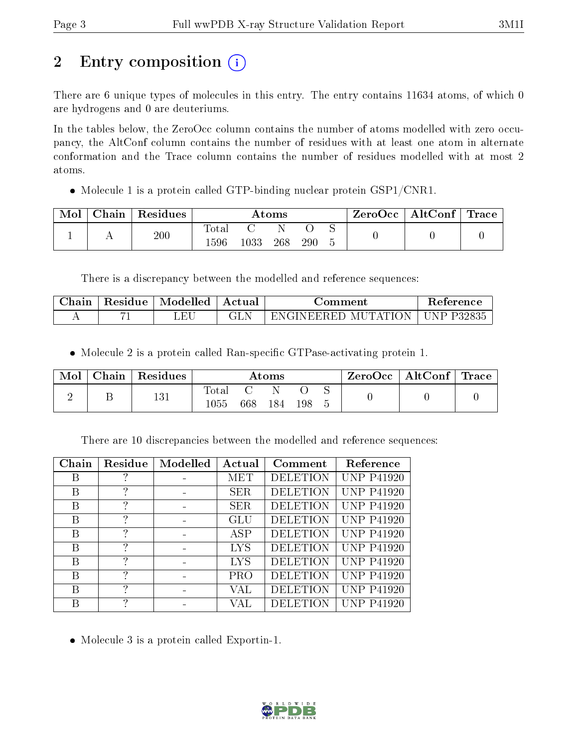# 2 Entry composition (i)

There are 6 unique types of molecules in this entry. The entry contains 11634 atoms, of which 0 are hydrogens and 0 are deuteriums.

In the tables below, the ZeroOcc column contains the number of atoms modelled with zero occupancy, the AltConf column contains the number of residues with at least one atom in alternate conformation and the Trace column contains the number of residues modelled with at most 2 atoms.

• Molecule 1 is a protein called GTP-binding nuclear protein GSP1/CNR1.

| Mol | Chain | Residues |               | Atoms |     |     |  |  | $\rm{ZeroOcc}$   $\rm{AltConf}$   $\rm{Trace}$ |  |
|-----|-------|----------|---------------|-------|-----|-----|--|--|------------------------------------------------|--|
|     |       | 200      | Total<br>1596 | 1033  | 268 | 290 |  |  |                                                |  |

There is a discrepancy between the modelled and reference sequences:

| Chain | Residue | Modelled | Actual | Jomment               | Reference    |
|-------|---------|----------|--------|-----------------------|--------------|
|       |         |          |        | ' ENGINEERED MUTATION | J UNP P32835 |

• Molecule 2 is a protein called Ran-specific GTPase-activating protein 1.

| Mol | $\vert$ Chain $\vert$ Residues | $\rm{Atoms}$  |     |     |     |  | ZeroOcc   AltConf   Trace |  |
|-----|--------------------------------|---------------|-----|-----|-----|--|---------------------------|--|
|     | 131                            | Total<br>1055 | 668 | 184 | 198 |  |                           |  |

There are 10 discrepancies between the modelled and reference sequences:

| Chain | Residue | Modelled | Actual     | Comment         | Reference         |
|-------|---------|----------|------------|-----------------|-------------------|
| В     |         |          | MET        | <b>DELETION</b> | <b>UNP P41920</b> |
| В     | 7       |          | <b>SER</b> | <b>DELETION</b> | <b>UNP P41920</b> |
| В     | ?       |          | SER.       | <b>DELETION</b> | <b>UNP P41920</b> |
| В     | 7       |          | GLU        | <b>DELETION</b> | <b>UNP P41920</b> |
| В     | 7       |          | ASP        | <b>DELETION</b> | <b>UNP P41920</b> |
| В     | ?       |          | LYS        | <b>DELETION</b> | <b>UNP P41920</b> |
| В     | 7       |          | LYS        | <b>DELETION</b> | <b>UNP P41920</b> |
| В     | 7       |          | <b>PRO</b> | <b>DELETION</b> | <b>UNP P41920</b> |
| В     | ?       |          | VAL        | <b>DELETION</b> | <b>UNP P41920</b> |
| В     | 7       |          | VAI.       | <b>DELETION</b> | <b>UNP P41920</b> |

Molecule 3 is a protein called Exportin-1.

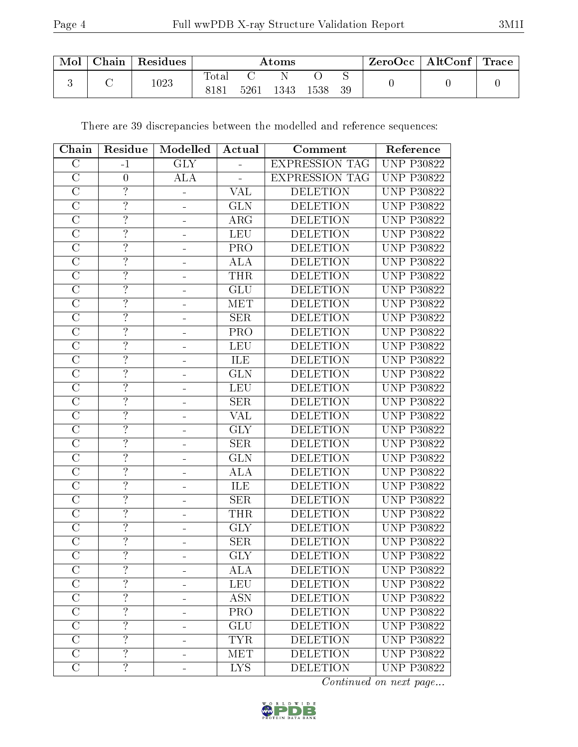| Mol | Chain | Residues | $\rm{Atoms}$  |      |      |      |    | $\pm$ ZeroOcc $\pm$ | $\mid$ AltConf $\mid$ | $^+$ Trace |
|-----|-------|----------|---------------|------|------|------|----|---------------------|-----------------------|------------|
|     |       | 1023     | rotal<br>8181 | 5261 | 1343 | 1538 | 39 |                     |                       |            |

There are 39 discrepancies between the modelled and reference sequences:

| Chain                   | Residue                  | Modelled   | Actual                  | Comment               | Reference         |
|-------------------------|--------------------------|------------|-------------------------|-----------------------|-------------------|
| $\mathcal{C}$           | $-1$                     | <b>GLY</b> |                         | <b>EXPRESSION TAG</b> | <b>UNP P30822</b> |
| $\mathcal{C}$           | $\boldsymbol{0}$         | <b>ALA</b> |                         | <b>EXPRESSION TAG</b> | <b>UNP P30822</b> |
| $\overline{C}$          | $\overline{?}$           |            | $\overline{\text{VAL}}$ | <b>DELETION</b>       | <b>UNP P30822</b> |
| $\overline{C}$          | $\overline{?}$           |            | <b>GLN</b>              | <b>DELETION</b>       | <b>UNP P30822</b> |
| $\overline{C}$          | $\overline{?}$           |            | ARG                     | <b>DELETION</b>       | <b>UNP P30822</b> |
| $\mathcal{C}$           | $\overline{?}$           |            | <b>LEU</b>              | <b>DELETION</b>       | <b>UNP P30822</b> |
| $\mathcal{C}$           | $\overline{?}$           |            | PRO                     | <b>DELETION</b>       | <b>UNP P30822</b> |
| $\overline{\rm C}$      | $\overline{?}$           |            | <b>ALA</b>              | <b>DELETION</b>       | <b>UNP P30822</b> |
| $\overline{C}$          | $\overline{?}$           |            | <b>THR</b>              | <b>DELETION</b>       | <b>UNP P30822</b> |
| $\overline{\rm C}$      | $\overline{?}$           |            | GLU                     | <b>DELETION</b>       | <b>UNP P30822</b> |
| $\overline{C}$          | $\overline{\mathcal{L}}$ | ÷          | <b>MET</b>              | <b>DELETION</b>       | <b>UNP P30822</b> |
| $\overline{\rm C}$      | $\overline{?}$           |            | SER                     | <b>DELETION</b>       | <b>UNP P30822</b> |
| $\overline{C}$          | $\overline{?}$           |            | PRO                     | <b>DELETION</b>       | <b>UNP P30822</b> |
| $\mathcal{C}$           | $\overline{?}$           |            | <b>LEU</b>              | <b>DELETION</b>       | <b>UNP P30822</b> |
| $\overline{\rm C}$      | $\overline{?}$           | ۳          | ILE                     | <b>DELETION</b>       | <b>UNP P30822</b> |
| $\overline{C}$          | $\overline{?}$           |            | <b>GLN</b>              | <b>DELETION</b>       | <b>UNP P30822</b> |
| $\overline{\rm C}$      | $\overline{?}$           |            | <b>LEU</b>              | <b>DELETION</b>       | <b>UNP P30822</b> |
| $\overline{C}$          | $\overline{\mathcal{L}}$ |            | <b>SER</b>              | <b>DELETION</b>       | <b>UNP P30822</b> |
| $\overline{\rm C}$      | $\overline{?}$           |            | <b>VAL</b>              | <b>DELETION</b>       | <b>UNP P30822</b> |
| $\overline{\rm C}$      | $\overline{?}$           |            | $\overline{\text{GLY}}$ | <b>DELETION</b>       | <b>UNP P30822</b> |
| $\mathcal{C}$           | $\overline{?}$           |            | <b>SER</b>              | <b>DELETION</b>       | <b>UNP P30822</b> |
| $\overline{C}$          | $\overline{?}$           |            | <b>GLN</b>              | <b>DELETION</b>       | <b>UNP P30822</b> |
| $\mathcal{C}$           | $\overline{?}$           |            | <b>ALA</b>              | <b>DELETION</b>       | <b>UNP P30822</b> |
| $\mathcal{C}$           | $\overline{?}$           |            | ILE                     | <b>DELETION</b>       | <b>UNP P30822</b> |
| $\overline{C}$          | $\overline{?}$           |            | <b>SER</b>              | <b>DELETION</b>       | <b>UNP P30822</b> |
| $\mathcal{C}$           | $\overline{\cdot}$       |            | THR                     | <b>DELETION</b>       | <b>UNP P30822</b> |
| $\overline{C}$          | $\overline{?}$           |            | $\overline{\text{GLY}}$ | <b>DELETION</b>       | <b>UNP P30822</b> |
| $\overline{C}$          | $\overline{?}$           |            | <b>SER</b>              | <b>DELETION</b>       | <b>UNP P30822</b> |
| $\overline{\rm C}$      | $\overline{?}$           |            | $\overline{\text{GLY}}$ | <b>DELETION</b>       | <b>UNP P30822</b> |
| $\overline{C}$          |                          |            | <b>ALA</b>              | <b>DELETION</b>       | <b>UNP P30822</b> |
| $\overline{C}$          | $\overline{?}$           |            | <b>LEU</b>              | <b>DELETION</b>       | <b>UNP P30822</b> |
| $\mathcal{C}$           | $\overline{?}$           |            | <b>ASN</b>              | <b>DELETION</b>       | <b>UNP P30822</b> |
| $\mathcal{C}$           | $\overline{?}$           |            | PRO                     | <b>DELETION</b>       | <b>UNP P30822</b> |
| $\overline{\mathrm{C}}$ | $\overline{?}$           | -          | <b>GLU</b>              | <b>DELETION</b>       | <b>UNP P30822</b> |
| $\mathcal{C}$           | $\overline{\cdot}$       |            | <b>TYR</b>              | <b>DELETION</b>       | <b>UNP P30822</b> |
| $\mathcal{C}$           | $\overline{?}$           | -          | <b>MET</b>              | <b>DELETION</b>       | <b>UNP P30822</b> |
| $\mathcal{C}$           | $\overline{?}$           |            | <b>LYS</b>              | <b>DELETION</b>       | <b>UNP P30822</b> |

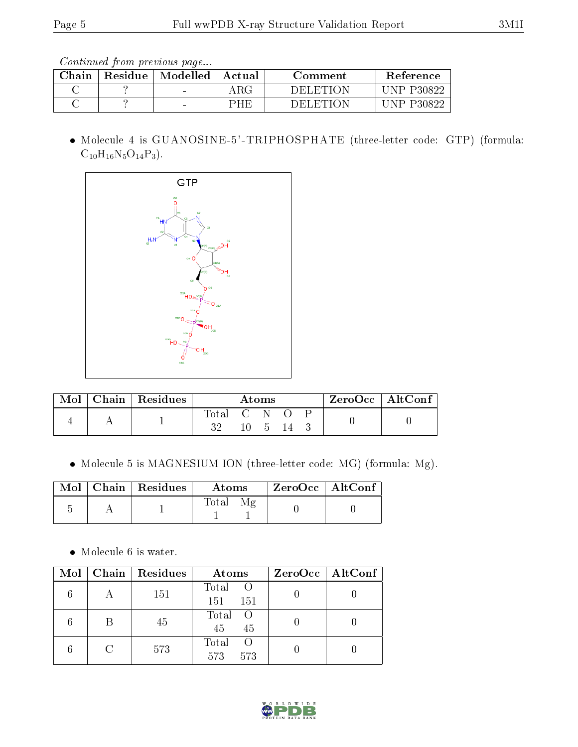| ${\rm Chain}$ | Residue | Modelled                 | Actual      | Comment   | Reference     |
|---------------|---------|--------------------------|-------------|-----------|---------------|
|               |         | $\overline{\phantom{a}}$ | ${\rm ARG}$ | DEL ETHON | P30822<br>NP. |
|               |         | $\overline{\phantom{a}}$ | PHF         | DEL ETION | ND.           |

 Molecule 4 is GUANOSINE-5'-TRIPHOSPHATE (three-letter code: GTP) (formula:  $C_{10}H_{16}N_5O_{14}P_3$ .



| $\bf{Mol}$ | Chain   Residues | Atoms       |  |                       |  |  | ZeroOcc   AltConf |  |
|------------|------------------|-------------|--|-----------------------|--|--|-------------------|--|
|            |                  | Total C N O |  | $10 \quad 5 \quad 14$ |  |  |                   |  |

Molecule 5 is MAGNESIUM ION (three-letter code: MG) (formula: Mg).

|  | Mol   Chain   Residues | Atoms             | $\mid$ ZeroOcc $\mid$ AltConf $\mid$ |
|--|------------------------|-------------------|--------------------------------------|
|  |                        | $\rm Total$<br>Μg |                                      |

• Molecule 6 is water.

| Mol | Chain Residues | Atoms                           | $ZeroOcc \mid AltConf \mid$ |
|-----|----------------|---------------------------------|-----------------------------|
|     | 151            | Total<br>151<br>151             |                             |
|     | 45             | Total<br>$\bigcirc$<br>45<br>45 |                             |
|     | 573            | Total<br>- ( )<br>573<br>573    |                             |

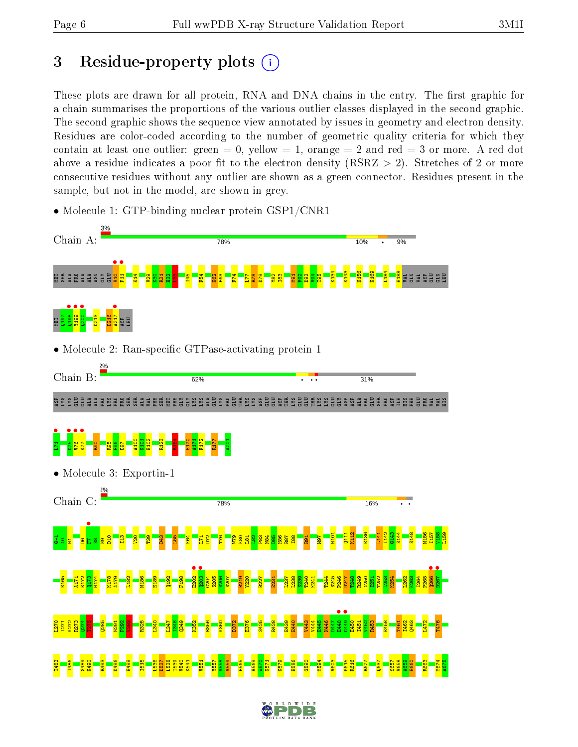# 3 Residue-property plots  $(i)$

These plots are drawn for all protein, RNA and DNA chains in the entry. The first graphic for a chain summarises the proportions of the various outlier classes displayed in the second graphic. The second graphic shows the sequence view annotated by issues in geometry and electron density. Residues are color-coded according to the number of geometric quality criteria for which they contain at least one outlier: green  $= 0$ , yellow  $= 1$ , orange  $= 2$  and red  $= 3$  or more. A red dot above a residue indicates a poor fit to the electron density (RSRZ  $> 2$ ). Stretches of 2 or more consecutive residues without any outlier are shown as a green connector. Residues present in the sample, but not in the model, are shown in grey.

• Molecule 1: GTP-binding nuclear protein GSP1/CNR1

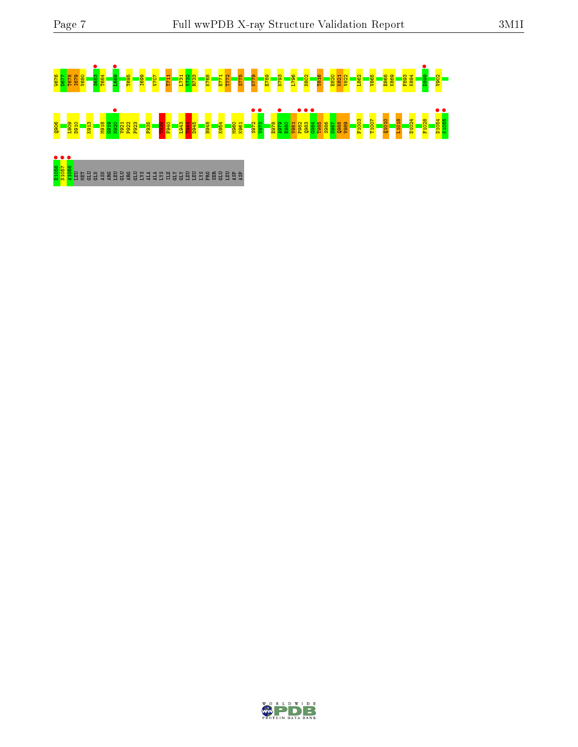# W676 D677 T678 I679 V680 S683 • T684 L689 • T695 I699 V707 T711 L731 Y732 R733 K768 E771 T772 S775 N779 E789 N793 L796 N802 T816 E820 K821 V822 L862 V865 E868 K869 F893 K894 D899 • V902 Q906 L909 D910 K913 M918 G919 N920 • V921 P922 F923 F935 T939 F940 L943 T944 D945 H948 K954 M960 K961 S972 • V973 • E978 A979 • E980 V981 P982 • Q983 • G984 • T985 S986 N987 Q988 V989 F1003 T1007 Q1010 L1018 D1024 F1028 D1054 • K1055 •

ende de la palagra de la segunda de la palagra de la palagra de la palagra de la palagra de la palagra de la p<br><mark>Sego</mark> de la bala de la palagra de la palagra de la palagra de la palagra de la palagra de la palagra de la pal

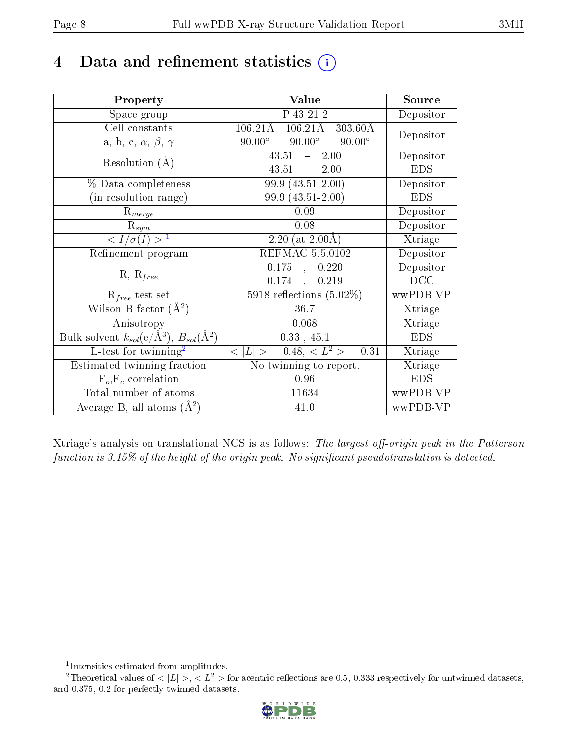## 4 Data and refinement statistics  $(i)$

| Property                                                         | Value                                                          | Source     |
|------------------------------------------------------------------|----------------------------------------------------------------|------------|
| Space group                                                      | $\overline{P}$ 43 21 2                                         | Depositor  |
| Cell constants                                                   | $106.21\text{\AA}$<br>$303.60\text{\AA}$<br>$106.21\text{\AA}$ | Depositor  |
| a, b, c, $\alpha$ , $\beta$ , $\gamma$                           | $90.00^\circ$<br>$90.00^\circ$<br>$90.00^\circ$                |            |
| Resolution $(A)$                                                 | 2.00<br>43.51<br>$\frac{1}{2}$                                 | Depositor  |
|                                                                  | 43.51<br>$-2.00$                                               | <b>EDS</b> |
| % Data completeness                                              | 99.9 (43.51-2.00)                                              | Depositor  |
| (in resolution range)                                            | 99.9 (43.51-2.00)                                              | <b>EDS</b> |
| $R_{merge}$                                                      | 0.09                                                           | Depositor  |
| $\mathrm{R}_{sym}$                                               | 0.08                                                           | Depositor  |
| $\sqrt{I/\sigma(I)} > 1$                                         | $\overline{2.20}$ (at 2.00Å)                                   | Xtriage    |
| Refinement program                                               | <b>REFMAC 5.5.0102</b>                                         | Depositor  |
|                                                                  | 0.175<br>0.220<br>$\mathbf{A}$                                 | Depositor  |
| $R, R_{free}$                                                    | 0.174<br>0.219<br>$\ddot{\phantom{a}}$                         | DCC        |
| $R_{free}$ test set                                              | 5918 reflections $(5.02\%)$                                    | wwPDB-VP   |
| Wilson B-factor $(A^2)$                                          | 36.7                                                           | Xtriage    |
| Anisotropy                                                       | 0.068                                                          | Xtriage    |
| Bulk solvent $k_{sol}(\text{e}/\text{A}^3), B_{sol}(\text{A}^2)$ | 0.33, 45.1                                                     | <b>EDS</b> |
| L-test for $\mathrm{twinning}^2$                                 | $< L >$ = 0.48, $< L2$ = 0.31                                  | Xtriage    |
| Estimated twinning fraction                                      | No twinning to report.                                         | Xtriage    |
| $F_o, F_c$ correlation                                           | 0.96                                                           | <b>EDS</b> |
| Total number of atoms                                            | 11634                                                          | wwPDB-VP   |
| Average B, all atoms $(A^2)$                                     | 41.0                                                           | wwPDB-VP   |

Xtriage's analysis on translational NCS is as follows: The largest off-origin peak in the Patterson function is  $3.15\%$  of the height of the origin peak. No significant pseudotranslation is detected.

<sup>&</sup>lt;sup>2</sup>Theoretical values of  $\langle |L| \rangle$ ,  $\langle L^2 \rangle$  for acentric reflections are 0.5, 0.333 respectively for untwinned datasets, and 0.375, 0.2 for perfectly twinned datasets.



<span id="page-7-1"></span><span id="page-7-0"></span><sup>1</sup> Intensities estimated from amplitudes.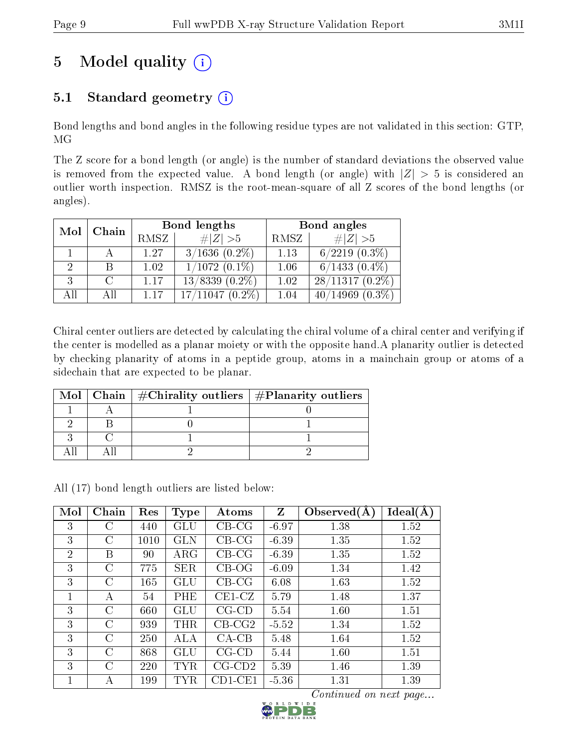# 5 Model quality  $(i)$

## 5.1 Standard geometry  $(i)$

Bond lengths and bond angles in the following residue types are not validated in this section: GTP, MG

The Z score for a bond length (or angle) is the number of standard deviations the observed value is removed from the expected value. A bond length (or angle) with  $|Z| > 5$  is considered an outlier worth inspection. RMSZ is the root-mean-square of all Z scores of the bond lengths (or angles).

|     |              |      | Bond lengths          | Bond angles |                       |  |
|-----|--------------|------|-----------------------|-------------|-----------------------|--|
|     | Chain<br>Mol |      | $\# Z  > 5$           | RMSZ        | # $ Z >5$             |  |
|     |              | 1.27 | $3/1636$ $(0.2\%)$    | 1.13        | $6/2219$ $(0.3\%)$    |  |
|     | B            | 1.02 | $1/1072(0.1\%)$       | 1.06        | $6/1433(0.4\%)$       |  |
| 3   | $\cap$       | 1.17 | $13/8339(0.2\%)$      | 1.02        | $28/11317(0.2\%)$     |  |
| All | Αll          | 1.17 | 17/11047<br>$(0.2\%)$ | 1.04        | 40/14969<br>$(0.3\%)$ |  |

Chiral center outliers are detected by calculating the chiral volume of a chiral center and verifying if the center is modelled as a planar moiety or with the opposite hand.A planarity outlier is detected by checking planarity of atoms in a peptide group, atoms in a mainchain group or atoms of a sidechain that are expected to be planar.

|  | Mol   Chain   $\#\text{Chirality outliers}$   $\#\text{Planarity outliers}$ |
|--|-----------------------------------------------------------------------------|
|  |                                                                             |
|  |                                                                             |
|  |                                                                             |
|  |                                                                             |

All (17) bond length outliers are listed below:

| Mol            | Chain         | Res  | <b>Type</b>          | Atoms        | Z       | Observed $(A)$ | Ideal(A) |
|----------------|---------------|------|----------------------|--------------|---------|----------------|----------|
| 3              | С             | 440  | $\operatorname{GLU}$ | $CB-CG$      | $-6.97$ | 1.38           | 1.52     |
| 3              | C             | 1010 | GLN                  | $CB-CG$      | $-6.39$ | 1.35           | 1.52     |
| $\overline{2}$ | В             | 90   | $\rm{ARG}$           | $CB-CG$      | $-6.39$ | 1.35           | 1.52     |
| 3              | $\rm C$       | 775  | <b>SER</b>           | $CB-OG$      | $-6.09$ | 1.34           | 1.42     |
| 3              | C             | 165  | GLU                  | $CB-CG$      | 6.08    | 1.63           | 1.52     |
| 1              | А             | 54   | PHE                  | $CE1-CZ$     | 5.79    | 1.48           | 1.37     |
| 3              | $\mathcal{C}$ | 660  | GLU                  | $CG$ - $CD$  | 5.54    | 1.60           | 1.51     |
| 3              | C             | 939  | $\rm THR$            | $CB-CG2$     | $-5.52$ | 1.34           | 1.52     |
| 3              | C             | 250  | <b>ALA</b>           | $CA-CB$      | 5.48    | 1.64           | 1.52     |
| 3              | C             | 868  | GLU                  | $CG$ - $CD$  | 5.44    | 1.60           | 1.51     |
| 3              | C             | 220  | $_{\rm TYR}$         | $CG$ - $CD2$ | 5.39    | 1.46           | 1.39     |
| 1              | А             | 199  | TYR                  | $CD1$ -CE1   | $-5.36$ | 1.31           | 1.39     |

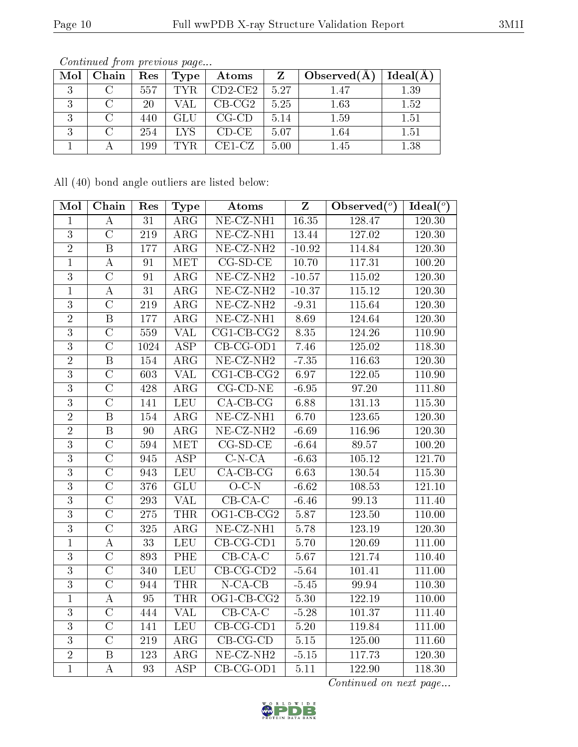| Mol | Chain | Res | Type | $\bold{Atoms}$     |      | Observed $(A)$ | Ideal(A) |
|-----|-------|-----|------|--------------------|------|----------------|----------|
| .,  |       | 557 | TYR. | $^{\circ}$ CD2-CE2 | 5.27 | 1.47           | 1.39     |
|     |       | 20  |      | $CB-CG2$           | 5.25 | 1.63           | 1.52     |
| ιJ  |       | 440 | GLU  | $CG-CD$            | 5.14 | 1.59           | 1.51     |
| .,  |       | 254 | LYS. | $CD-CE$            | 5.07 | 1.64           | 1.51     |
|     |       | 199 | TYR. | $CE1-CZ$           | 5.00 | 1.45           | 1.38     |

All (40) bond angle outliers are listed below:

| Mol            | Chain                   | Res              | <b>Type</b>             | Atoms                    | Z                 | Observed $(°)$      | Ideal $(°)$ |
|----------------|-------------------------|------------------|-------------------------|--------------------------|-------------------|---------------------|-------------|
| 1              | $\boldsymbol{A}$        | $\overline{31}$  | $\overline{\rm{ARG}}$   | $NE- CZ- \overline{NH1}$ | 16.35             | 128.47              | 120.30      |
| $\overline{3}$ | $\overline{C}$          | 219              | $\rm{ARG}$              | $NE-CZ-NH1$              | <sup>1</sup> 3.44 | 127.02              | 120.30      |
| $\sqrt{2}$     | $\, {\bf B}$            | 177              | $\rm{ARG}$              | $NE$ -CZ-NH <sub>2</sub> | $-10.92$          | 114.84              | 120.30      |
| $\overline{1}$ | $\boldsymbol{A}$        | 91               | <b>MET</b>              | $CG-SD-CE$               | 10.70             | $117.\overline{31}$ | 100.20      |
| $\mathbf{3}$   | $\mathcal{C}$           | 91               | $\rm{ARG}$              | $NE- CZ-NH2$             | $-10.57$          | 115.02              | 120.30      |
| $\mathbf{1}$   | $\overline{\rm A}$      | $\overline{31}$  | $\overline{\rm{ARG}}$   | $NE$ -CZ-NH <sub>2</sub> | $-10.37$          | 115.12              | 120.30      |
| 3              | $\overline{C}$          | 219              | $\rm{ARG}$              | $NE- CZ-NH2$             | $-9.31$           | 115.64              | 120.30      |
| $\overline{2}$ | $\overline{\mathrm{B}}$ | $\overline{177}$ | $\overline{\text{ARG}}$ | $NE$ -CZ-NH1             | 8.69              | 124.64              | 120.30      |
| $\overline{3}$ | $\overline{C}$          | 559              | <b>VAL</b>              | $CG1$ - $CB$ - $CG2$     | 8.35              | 124.26              | 110.90      |
| $\overline{3}$ | $\overline{C}$          | 1024             | <b>ASP</b>              | $CB-CG-OD1$              | 7.46              | 125.02              | 118.30      |
| $\overline{2}$ | $\, {\bf B}$            | 154              | $\rm{ARG}$              | $NE$ -CZ-NH <sub>2</sub> | $-7.35$           | 116.63              | 120.30      |
| 3              | $\mathcal{C}$           | 603              | <b>VAL</b>              | $CG1$ - $CB$ - $CG2$     | 6.97              | 122.05              | 110.90      |
| $\overline{3}$ | $\overline{\rm C}$      | 428              | $\overline{\rm{ARG}}$   | $CG$ - $CD$ - $NE$       | $-6.95$           | 97.20               | 111.80      |
| 3              | $\overline{C}$          | 141              | <b>LEU</b>              | $CA-CB-CG$               | 6.88              | 131.13              | 115.30      |
| $\overline{2}$ | $\, {\bf B}$            | 154              | $\overline{\rm{ARG}}$   | $NE-CZ-NH1$              | 6.70              | 123.65              | 120.30      |
| $\overline{2}$ | $\overline{\mathbf{B}}$ | 90               | $\overline{\text{ARG}}$ | $NE$ -CZ-NH <sub>2</sub> | $-6.69$           | 116.96              | 120.30      |
| 3              | $\overline{C}$          | 594              | MET                     | $CG-SD-CE$               | $-6.64$           | 89.57               | 100.20      |
| $\overline{3}$ | $\overline{\rm C}$      | 945              | $\overline{\text{ASP}}$ | $C-N-CA$                 | $-6.63$           | 105.12              | 121.70      |
| $\mathbf{3}$   | $\mathcal{C}$           | 943              | LEU                     | $CA$ -CB-CG              | 6.63              | 130.54              | 115.30      |
| $\overline{3}$ | $\overline{\rm C}$      | 376              | $\overline{GLU}$        | $O-C-N$                  | $-6.62$           | 108.53              | 121.10      |
| $\overline{3}$ | $\overline{C}$          | 293              | <b>VAL</b>              | $CB$ - $CA$ - $C$        | $-6.46$           | 99.13               | 111.40      |
| $\overline{3}$ | $\overline{\rm C}$      | $275\,$          | <b>THR</b>              | OG1-CB-CG2               | 5.87              | 123.50              | 110.00      |
| $\overline{3}$ | $\overline{\rm C}$      | 325              | $\overline{\text{ARG}}$ | $NE- CZ-NH1$             | 5.78              | 123.19              | 120.30      |
| $\mathbf{1}$   | $\boldsymbol{A}$        | 33               | <b>LEU</b>              | CB-CG-CD1                | 5.70              | 120.69              | 111.00      |
| $\overline{3}$ | $\overline{\rm C}$      | 893              | <b>PHE</b>              | $CB-CA-C$                | 5.67              | 121.74              | 110.40      |
| $\overline{3}$ | $\overline{C}$          | 340              | <b>LEU</b>              | $CB-CG-CD2$              | $-5.64$           | 101.41              | 111.00      |
| $\overline{3}$ | $\mathcal{C}$           | 944              | <b>THR</b>              | $N$ -CA-CB               | $-5.45$           | 99.94               | 110.30      |
| $\overline{1}$ | $\boldsymbol{A}$        | 95               | <b>THR</b>              | $OGI-CB-CG2$             | 5.30              | 122.19              | 110.00      |
| $\mathbf{3}$   | $\overline{\rm C}$      | 444              | <b>VAL</b>              | $CB-CA-C$                | $-5.28$           | 101.37              | 111.40      |
| $\overline{3}$ | $\overline{\rm C}$      | 141              | <b>LEU</b>              | $CB-CG-CD1$              | 5.20              | 119.84              | 111.00      |
| $\overline{3}$ | $\overline{C}$          | 219              | $\rm{ARG}$              | $CB-CG-CD$               | $5.15\,$          | 125.00              | 111.60      |
| $\overline{2}$ | $\, {\bf B}$            | 123              | $\rm{ARG}$              | $NE$ $CZ$ $NH2$          | $-5.15$           | 117.73              | 120.30      |
| $\overline{1}$ | $\overline{A}$          | 93               | <b>ASP</b>              | $CB-CG-OD1$              | 5.11              | 122.90              | 118.30      |

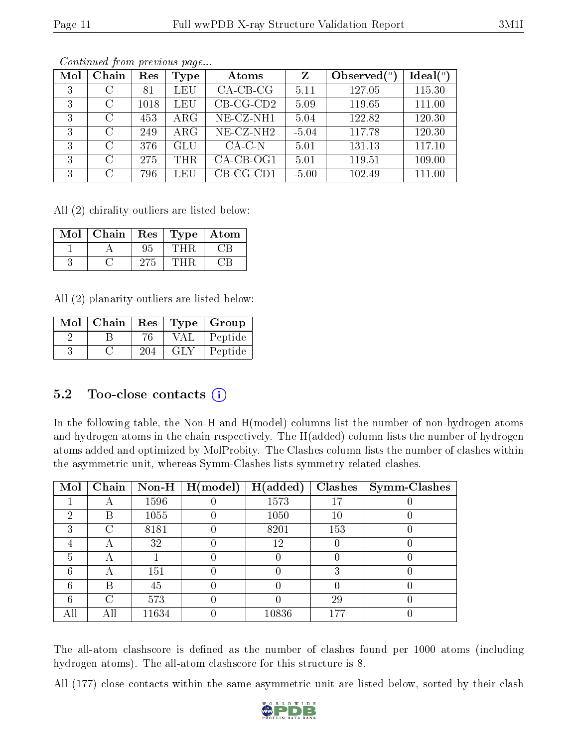| Mol | Chain             | Res  | Type       | Atoms        | Ζ       | Observed $\binom{o}{c}$ | $Ideal(^o)$ |
|-----|-------------------|------|------------|--------------|---------|-------------------------|-------------|
| 3   | C                 | 81   | LEU        | $CA$ -CB-CG  | 5.11    | 127.05                  | 115.30      |
| 3   | С                 | 1018 | LEU        | $CB-CG-CD2$  | 5.09    | 119.65                  | 111.00      |
| 3   | $\mathcal{C}$     | 453  | $\rm{ARG}$ | $NE- CZ-NH1$ | 5.04    | 122.82                  | 120.30      |
| 3   | C                 | 249  | $\rm{ARG}$ | $NE- CZ-NH2$ | $-5.04$ | 117.78                  | 120.30      |
| 3   | $\mathcal{C}$     | 376  | GLU        | $CA-C-N$     | 5.01    | 131.13                  | 117.10      |
| 3   | $\mathcal{C}_{1}$ | 275  | THR.       | $CA$ -CB-OG1 | 5.01    | 119.51                  | 109.00      |
| 3   | $\overline{C}$    | 796  | LEU        | $CB-CG-CD1$  | $-5.00$ | 102.49                  | 111.00      |

All (2) chirality outliers are listed below:

| Mol | Chain | Res | Type | Atom |
|-----|-------|-----|------|------|
|     |       |     |      |      |
|     |       |     |      |      |

All (2) planarity outliers are listed below:

| $Mol$   Chain |     |     | $\vert$ Res $\vert$ Type $\vert$ Group |
|---------------|-----|-----|----------------------------------------|
|               | 76  | VAL | Peptide                                |
|               | 204 | GLY | Peptide                                |

#### 5.2 Too-close contacts  $(i)$

In the following table, the Non-H and H(model) columns list the number of non-hydrogen atoms and hydrogen atoms in the chain respectively. The H(added) column lists the number of hydrogen atoms added and optimized by MolProbity. The Clashes column lists the number of clashes within the asymmetric unit, whereas Symm-Clashes lists symmetry related clashes.

| Mol | Chain |       | $\mid$ Non-H $\mid$ H(model) | H(added) | Clashes | Symm-Clashes |
|-----|-------|-------|------------------------------|----------|---------|--------------|
|     | A     | 1596  |                              | 1573     | 17      |              |
| 2   | В     | 1055  |                              | 1050     | 10      |              |
| 3   | C     | 8181  |                              | 8201     | 153     |              |
|     | А     | 32    |                              | 12       |         |              |
| 5   | А     |       |                              |          |         |              |
| 6   | А     | 151   |                              |          | 3       |              |
| 6   | В     | 45    |                              |          |         |              |
| 6   | C     | 573   |                              |          | 29      |              |
|     | Αll   | 11634 |                              | 10836    | 177     |              |

The all-atom clashscore is defined as the number of clashes found per 1000 atoms (including hydrogen atoms). The all-atom clashscore for this structure is 8.

All (177) close contacts within the same asymmetric unit are listed below, sorted by their clash

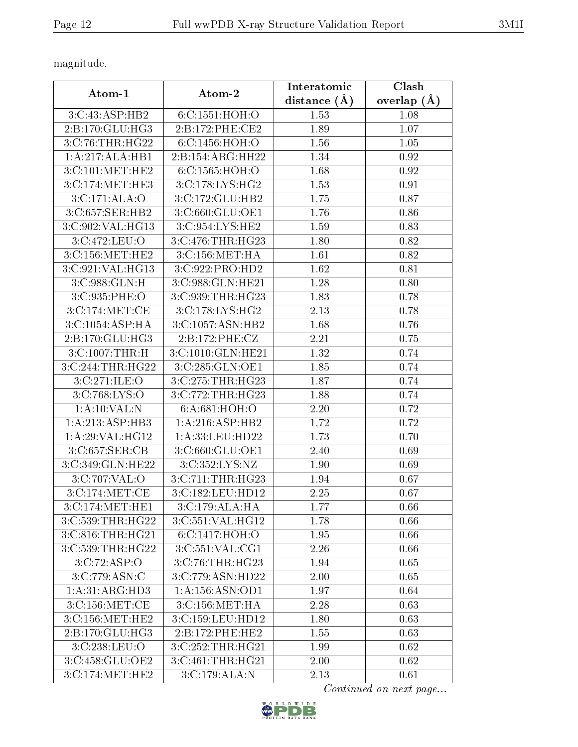magnitude.

| Atom-1                                    | Atom-2                               | Interatomic    | Clash           |  |
|-------------------------------------------|--------------------------------------|----------------|-----------------|--|
|                                           |                                      | distance $(A)$ | overlap $(\AA)$ |  |
| 3:C:43:ASP:HB2                            | 6:C:1551:HOH:O                       | 1.53           | 1.08            |  |
| 2:B:170:GLU:HG3                           | 2:B:172:PHE:CE2                      | 1.89           | 1.07            |  |
| 3:C:76:THR:HG22                           | 6:C:1456:HOH:O                       | 1.56           | 1.05            |  |
| 1:A:217:ALA:HB1                           | 2:B:154:ARG:HH22                     | 1.34           | 0.92            |  |
| 3:C:101:MET:HE2                           | 6:C:1565:HOH:O                       | 1.68           | 0.92            |  |
| 3:C:174:MET:HE3                           | 3:C:178:LYS:HG2                      | 1.53           | 0.91            |  |
| 3:C:171:ALA:O                             | 3:C:172:GLU:HB2                      | 1.75           | 0.87            |  |
| 3:C:657:SER:HB2                           | 3:C:660:GLU:OE1                      | 1.76           | 0.86            |  |
| 3:C:902:VAL:HG13                          | 3:C:954:LYS:HE2                      | 1.59           | 0.83            |  |
| 3:C:472:LEU:O                             | 3:C:476:THR:HG23                     | 1.80           | 0.82            |  |
| 3:C:156:MET:HE2                           | 3:C:156:MET:HA                       | 1.61           | 0.82            |  |
| 3:C:921:VAL:HG13                          | 3:C:922:PRO:HD2                      | 1.62           | 0.81            |  |
| 3:C:988:GLN:H                             | 3:C:988:GLN:HE21                     | 1.28           | 0.80            |  |
| 3:C:935:PHE:O                             | 3:C:939:THR:HG23                     | 1.83           | 0.78            |  |
| 3:C:174:MET:CE                            | 3:C:178:LYS:HG2                      | 2.13           | 0.78            |  |
| 3:C:1054:ASP:HA                           | 3:C:1057:ASN:HB2                     | 1.68           | 0.76            |  |
| 2:B:170:GLU:HG3                           | 2:B:172:PHE:CZ                       | 2.21           | 0.75            |  |
| 3:C:1007:THR:H                            | 3:C:1010:GLN:HE21                    | 1.32           | 0.74            |  |
| 3:C:244:THR:HG22                          | 3:C:285:GLN:OE1                      | 1.85           | 0.74            |  |
| 3:C:271:ILE:O                             | 3:C:275:THR:HG23                     | 1.87           | 0.74            |  |
| 3: C: 768: LYS: O                         | 3:C:772:THR:HG23                     | 1.88           | 0.74            |  |
| 1: A:10: VAL:N                            | 6: A:681: HOH:O                      | 2.20           | 0.72            |  |
| 1:A:213:ASP:HB3                           | 1:A:216:ASP:HB2                      | 1.72           | 0.72            |  |
| 1: A:29: VAL:HG12                         | 1:A:33:LEU:HD22                      | 1.73           | 0.70            |  |
| $3:C:657:\overline{\text{SER:}}\text{CB}$ | 3:C:660:GLU:OE1                      | 2.40           | 0.69            |  |
| 3:C:349:GLN:HE22                          | 3:C:352:LYS:NZ                       | 1.90           | 0.69            |  |
| 3:C:707:VAL:O                             | 3:C:711:THR:HG23                     | 1.94           | 0.67            |  |
| 3:C:174:MET:CE                            | 3:C:182:LEU:HD12                     | 2.25           | 0.67            |  |
| 3:C:174:MET:HE1                           | 3:C:179:ALA:HA                       | 1.77           | 0.66            |  |
| 3:C:539:THR:HG22                          | $3:C:551:\overline{\text{VAL}:HG12}$ | 1.78           | 0.66            |  |
| 3:C:816:THR:HG21                          | 6:C:1417:HOH:O                       | 1.95           | 0.66            |  |
| 3:C:539:THR:HG22                          | 3:C:551:VAL:CG1                      | 2.26           | 0.66            |  |
| 3:C:72:ASP:O                              | 3:C:76:THR:HG23                      | 1.94           | 0.65            |  |
| 3:C:779:ASN:C                             | 3:C:779:ASN:HD22                     | 2.00           | 0.65            |  |
| 1:A:31:ARG:HD3                            | 1:A:156:ASN:OD1                      | 1.97           | 0.64            |  |
| 3:C:156:MET:CE                            | 3: C:156:MET:HA                      | 2.28           | 0.63            |  |
| 3:C:156:MET:HE2                           | $3:C:159:L\overline{EU:HD12}$        | 1.80           | 0.63            |  |
| 2:B:170:GLU:HG3                           | 2:B:172:PHE:HE2                      | 1.55           | 0.63            |  |
| 3:C:238:LEU:O                             | 3:C:252:THR:HG21                     | 1.99           | 0.62            |  |
| 3:C:458:GLU:OE2                           | 3:C:461:THR:HG21                     | 2.00           | 0.62            |  |
| 3:C:174:MET:HE2                           | 3:C:179:ALA:N                        | 2.13           | 0.61            |  |

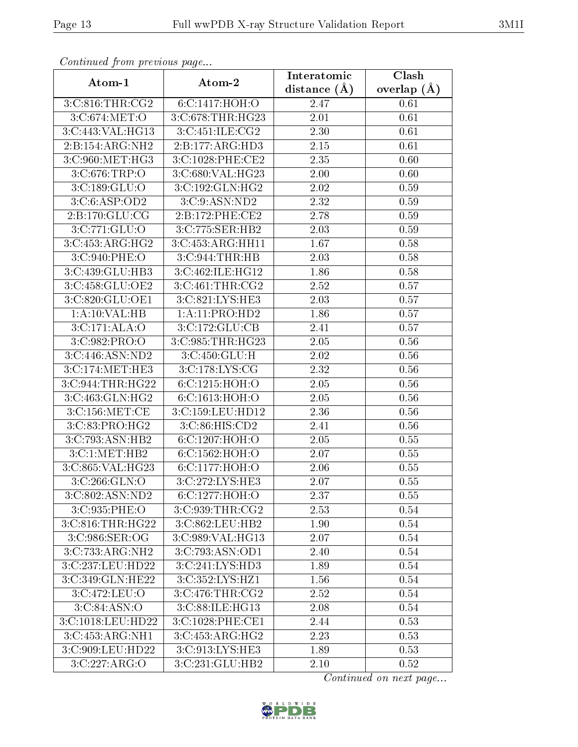| Continuu from providuo pugo          |                   | Interatomic       | Clash           |
|--------------------------------------|-------------------|-------------------|-----------------|
| Atom-1                               | Atom-2            | distance $(A)$    | overlap $(\AA)$ |
| 3:C:816:THR:CG2                      | 6:C:1417:HOH:O    | 2.47              | 0.61            |
| 3:C:674:MET:O                        | 3:C:678:THR:HG23  | 2.01              | 0.61            |
| $3:$ C:443:VAL:HG13                  | 3:C:451:ILE:CG2   | 2.30              | 0.61            |
| 2:B:154:ARG:NH2                      | 2:B:177:ARG:HD3   | 2.15              | 0.61            |
| 3:C:960:MET:HG3                      | 3:C:1028:PHE:CE2  | 2.35              | 0.60            |
| 3:C:676:TRP:O                        | 3:C:680:VAL:HG23  | 2.00              | 0.60            |
| 3:C:189:GLU:O                        | 3:C:192:GLN:HG2   | $\overline{2.02}$ | 0.59            |
| 3: C: 6: ASP: OD2                    | 3: C: 9: ASN: ND2 | 2.32              | 0.59            |
| 2:B:170:GLU:CG                       | 2:B:172:PHE:CE2   | 2.78              | 0.59            |
| 3:C:771:GLU:O                        | 3:C:775:SER:HB2   | 2.03              | 0.59            |
| 3:C:453:ARG:HG2                      | 3:C:453:ARG:HH11  | 1.67              | 0.58            |
| 3:C:940:PHE:O                        | 3:C:944:THR:HB    | 2.03              | 0.58            |
| 3:C:439:GLU:HB3                      | 3:C:462:ILE:HG12  | 1.86              | 0.58            |
| 3:C:458:GLU:OE2                      | 3:C:461:THR:CG2   | 2.52              | 0.57            |
| 3:C:820:GLU:OE1                      | 3:C:821:LYS:HE3   | 2.03              | 0.57            |
| 1:A:10:VAL:HB                        | 1:A:11:PRO:HD2    | 1.86              | 0.57            |
| 3:C:171:ALA:O                        | 3:C:172:GLU:CB    | 2.41              | 0.57            |
| 3:C:982:PRO:O                        | 3:C:985:THR:HG23  | 2.05              | 0.56            |
| 3:C:446:ASN:ND2                      | 3:C:450:GLU:H     | 2.02              | 0.56            |
| 3:C:174:MET:HE3                      | 3:C:178:LYS:CG    | 2.32              | 0.56            |
| 3:C:944:THR:HG22                     | 6: C: 1215: HOH:O | 2.05              | 0.56            |
| 3:C:463:GLN:HG2                      | 6:C:1613:HOH:O    | 2.05              | 0.56            |
| 3:C:156:MET:CE                       | 3:C:159:LEU:HD12  | 2.36              | 0.56            |
| 3:C:83:PRO:HG2                       | 3:C:86:HIS:CD2    | 2.41              | 0.56            |
| 3:C:793:ASN:HB2                      | 6:C:1207:HOH:O    | 2.05              | $0.55\,$        |
| 3:C:1:MET:HB2                        | $6:$ C:1562:HOH:O | 2.07              | 0.55            |
| 3:C:865:VAL:HG23                     | 6:C:1177:HOH:O    | 2.06              | 0.55            |
| 3: C: 266: GLN:O                     | 3:C:272:LYS:HE3   | 2.07              | 0.55            |
| 3:C:802:ASN:ND2                      | 6:C:1277:HOH:O    | 2.37              | 0.55            |
| 3:C:935:PHE:O                        | 3:C:939:THR:CG2   | 2.53              | 0.54            |
| 3:C:816:THR:HG22                     |                   | 1.90              | 0.54            |
| 3:C:986:SER:OG                       | 3:C:989:VAL:HG13  | 2.07              | 0.54            |
| 3:C:733:ARG:NH2                      | 3:C:793:ASN:OD1   | 2.40              | 0.54            |
| 3:C:237:LEU:HD22                     | 3:C:241:LYS:HD3   | 1.89              | 0.54            |
| $3:C:349:GLN:\overline{\text{HE22}}$ | 3:C:352:LYS:HZ1   | 1.56              | 0.54            |
| 3:C:472:LEU:O                        | 3:C:476:THR:CG2   | 2.52              | 0.54            |
| 3: C:84:ASN:O                        | 3:C:88:ILE:HG13   | 2.08              | 0.54            |
| 3:C:1018:LEU:HD22                    | 3:C:1028:PHE:CE1  | 2.44              | 0.53            |
| 3:C:453:ARG:NH1                      | 3:C:453:ARG:HG2   | 2.23              | 0.53            |
| 3:C:909:LEU:HD22                     | 3:C:913:LYS:HE3   | 1.89              | 0.53            |
| 3:C:227:ARG:O                        | 3:C:231:GLU:HB2   | 2.10              | 0.52            |

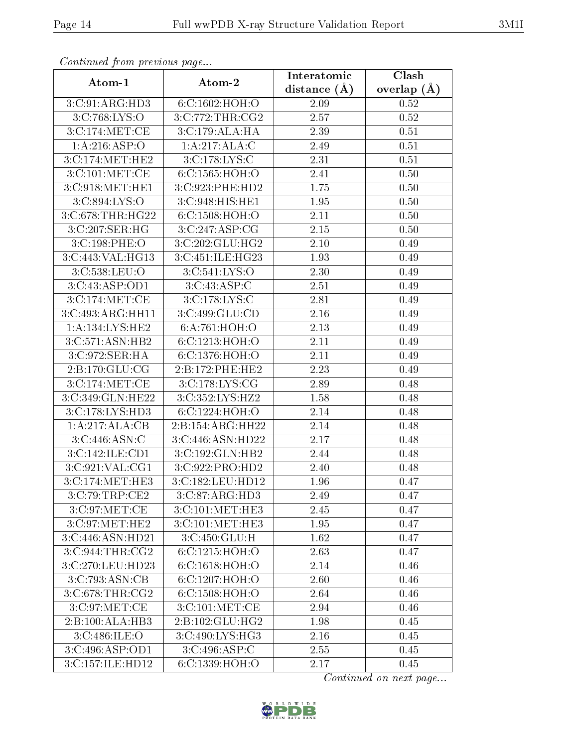|                                      |                                    | Interatomic       | <b>Clash</b>    |  |
|--------------------------------------|------------------------------------|-------------------|-----------------|--|
| Atom-1                               | Atom-2                             | distance $(\AA)$  | overlap $(\AA)$ |  |
| 3:C:91:ARG:HD3                       | 6:C:1602:HOH:O                     | 2.09              | 0.52            |  |
| 3:C:768:LYS:O                        | 3:C:772:THR:CG2                    | 2.57              | 0.52            |  |
| 3:C:174:MET:CE                       | 3:C:179:ALA:HA                     | 2.39              | 0.51            |  |
| 1: A:216: ASP:O                      | 1:A:217:ALA:C                      | 2.49              | 0.51            |  |
| 3:C:174:MET:HE2                      | 3:C:178:LYS:C                      | $\overline{2.31}$ | 0.51            |  |
| 3:C:101:MET:CE                       | 6:C:1565:HOH:O                     | 2.41              | 0.50            |  |
| 3:C:918:MET:HE1                      | 3:C:923:PHE:HD2                    | 1.75              | 0.50            |  |
| 3:C:894:LYS:O                        | 3:C:948:HIS:HE1                    | 1.95              | 0.50            |  |
| 3:C:678:THR:HG22                     | 6:C:1508:HOH:O                     | 2.11              | 0.50            |  |
| 3:C:207:SER:HG                       | 3:C:247:ASP:CG                     | 2.15              | 0.50            |  |
| 3:C:198:PHE:O                        | 3:C:202:GLU:HG2                    | 2.10              | 0.49            |  |
| 3:C:443:VAL:HG13                     | 3:C:451:ILE:HG23                   | 1.93              | 0.49            |  |
| 3:C:538:LEU:O                        | 3:C:541:LYS:O                      | 2.30              | 0.49            |  |
| 3:C:43:ASP:OD1                       | 3:C:43:ASP:C                       | 2.51              | 0.49            |  |
| 3:C:174:MET:CE                       | 3:C:178:LYS:C                      | 2.81              | 0.49            |  |
| 3:C:493:ARG:HH11                     | 3:C:499:GLU:CD                     | 2.16              | 0.49            |  |
| 1: A:134: LYS: HE2                   | 6:A:761:HOH:O                      | 2.13              | 0.49            |  |
| 3: C: 571: ASN: HB2                  | 6:C:1213:HOH:O                     | 2.11              | 0.49            |  |
| 3:C:972:SER:HA                       | 6:C:1376:HOH:O                     | 2.11              | 0.49            |  |
| 2:B:170:GLU:CG                       | 2:B:172:PHE:HE2                    | 2.23              | 0.49            |  |
| 3:C:174:MET:CE                       | 3:C:178:LYS:CG                     | 2.89              | 0.48            |  |
| 3:C:349:GLN:HE22                     | 3:C:352:LYS:HZ2                    | 1.58              | 0.48            |  |
| 3:C:178:LYS:HD3                      | 6:C:1224:HOH:O                     | 2.14              | 0.48            |  |
| 1:A:217:ALA:CB                       | 2:B:154:ARG:HH22                   | 2.14              | 0.48            |  |
| 3:C:446:ASN:C                        | 3:C:446:ASN:HD22                   | 2.17              | 0.48            |  |
| 3:C:142:ILE:CD1                      | 3:C:192:GLN:HB2                    | 2.44              | 0.48            |  |
| 3:C:921:VAL:CG1                      | 3:C:922:PRO:HD2                    | 2.40              | 0.48            |  |
| 3:C:174:MET:HE3                      | 3:C:182:LEU:HD12                   | 1.96              | 0.47            |  |
| 3:C:79:TRP:CE2                       | 3:C:87:ARG:HD3                     | 2.49              | 0.47            |  |
| $3:C:97:MET:C\overline{E}$           | 3:C:101:MET:HE3                    | 2.45              | 0.47            |  |
| 3:C:97:MET:HE2                       | 3:C:101:MET:HE3                    | 1.95              | 0.47            |  |
| 3:C:446:ASN:HD21                     | 3:C:450:GLU:H                      | 1.62              | 0.47            |  |
| $3:C:944: \overline{\text{THR}:CG2}$ | 6: C: 1215: HOH:O                  | 2.63              | 0.47            |  |
| 3:C:270:LEU:HD23                     | 6:C:1618:HOH:O                     | 2.14              | 0.46            |  |
| 3:C:793:ASN:CB                       | 6:C:1207:HOH:O                     | 2.60              | 0.46            |  |
| 3: C:678:THR:CG2                     | 6:C:1508:HOH:O                     | 2.64              | 0.46            |  |
| 3:C:97:MET:CE                        | $3:C:101:MET:\overline{\text{CE}}$ | 2.94              | 0.46            |  |
| 2:B:100:ALA:HB3                      | 2:B:102:GLU:HG2                    | 1.98              | 0.45            |  |
| 3:C:486:ILE:O                        | 3:C:490:LYS:HG3                    | 2.16              | 0.45            |  |
| 3:C:496:ASP:OD1                      | 3:C:496:ASP:C                      | 2.55              | 0.45            |  |
| 3:C:157:ILE:HD12                     | 6:C:1339:HOH:O                     | 2.17              | 0.45            |  |

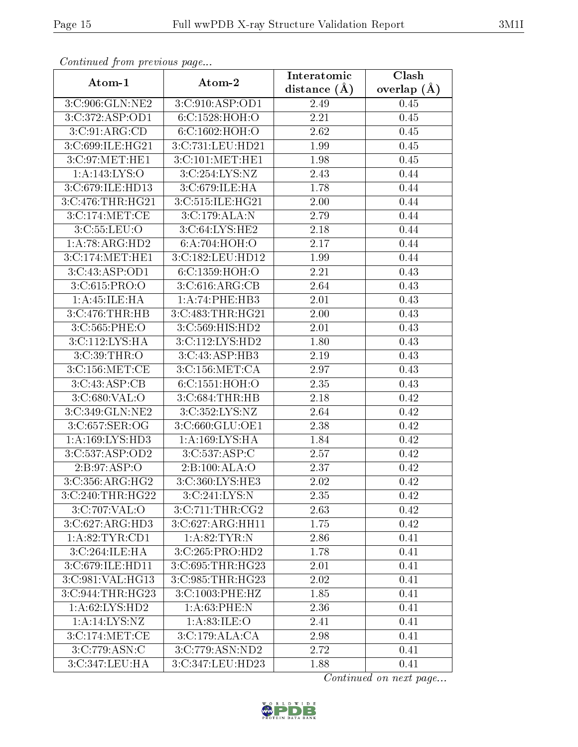| s onttheward from provide as page<br>Atom-1 | Atom-2           | Interatomic      | Clash           |
|---------------------------------------------|------------------|------------------|-----------------|
|                                             |                  | distance $(\AA)$ | overlap $(\AA)$ |
| 3:C:906:GLN:NE2                             | 3:C:910:ASP:OD1  | 2.49             | 0.45            |
| 3:C:372:ASP:OD1                             | 6:C:1528:HOH:O   | 2.21             | 0.45            |
| 3:C:91:ARG:CD                               | 6:C:1602:HOH:O   | 2.62             | 0.45            |
| 3:C:699:ILE:HG21                            | 3:C:731:LEU:HD21 | 1.99             | 0.45            |
| 3:C:97:MET:HE1                              | 3:C:101:MET:HE1  | 1.98             | 0.45            |
| 1: A:143: LYS:O                             | 3:C:254:LYS:NZ   | 2.43             | 0.44            |
| 3:C:679:ILE:HD13                            | 3:C:679:ILE:HA   | 1.78             | 0.44            |
| 3:C:476:THR:HG21                            | 3:C:515:ILE:HG21 | 2.00             | 0.44            |
| 3:C:174:MET:CE                              | 3:C:179:ALA:N    | 2.79             | 0.44            |
| 3: C: 55: LEU: O                            | 3:C:64:LYS:HE2   | 2.18             | 0.44            |
| 1:A:78:ARG:HD2                              | 6:A:704:HOH:O    | 2.17             | 0.44            |
| 3:C:174:MET:HE1                             | 3:C:182:LEU:HD12 | 1.99             | 0.44            |
| 3:C:43:ASP:OD1                              | 6:C:1359:HOH:O   | 2.21             | 0.43            |
| 3:C:615:PRO:O                               | 3:C:616:ARG:CB   | 2.64             | 0.43            |
| 1:A:45:ILE:HA                               | 1:A:74:PHE:HB3   | 2.01             | 0.43            |
| 3:C:476:THR:HB                              | 3:C:483:THR:HG21 | 2.00             | 0.43            |
| 3:C:565:PHE:O                               | 3:C:569:HIS:HD2  | 2.01             | 0.43            |
| 3:C:112:LYS:HA                              | 3:C:112:LYS:HD2  | 1.80             | 0.43            |
| 3:C:39:THR:O                                | 3:C:43:ASP:HB3   | 2.19             | 0.43            |
| 3:C:156:MET:CE                              | 3:C:156:MET:CA   | 2.97             | 0.43            |
| 3:C:43:ASP:CB                               | 6:C:1551:HOH:O   | 2.35             | 0.43            |
| 3:C:680:VAL:O                               | 3:C:684:THR:HB   | 2.18             | 0.42            |
| 3:C:349:GLN:NE2                             | 3:C:352:LYS:NZ   | 2.64             | 0.42            |
| 3:C:657:SER:OG                              | 3:C:660:GLU:OE1  | 2.38             | 0.42            |
| 1: A: 169: LYS: HD3                         | 1:A:169:LYS:HA   | 1.84             | 0.42            |
| 3:C:537:ASP:OD2                             | 3:C:537:ASP:C    | 2.57             | 0.42            |
| 2:B:97:ASP:O                                | 2:B:100:ALA:O    | 2.37             | 0.42            |
| 3:C:356:ARG:HG2                             | 3:C:360:LYS:HE3  | 2.02             | 0.42            |
| 3:C:240:THR:HG22                            | 3:C:241:LYS:N    | 2.35             | 0.42            |
| 3:C:707:VAL:O                               | 3:C:711:THR:CG2  | 2.63             | 0.42            |
| 3: C:627: ARG:HD3                           | 3:C:627:ARG:HH11 | 1.75             | 0.42            |
| 1:A:82:TYR:CD1                              | 1: A:82:TYR:N    | 2.86             | 0.41            |
| 3:C:264:ILE:HA                              | 3:C:265:PRO:HD2  | 1.78             | 0.41            |
| 3:C:679:ILE:HD11                            | 3:C:695:THR:HG23 | 2.01             | 0.41            |
| $3:C:981:\overline{VAL:HG13}$               | 3:C:985:THR:HG23 | 2.02             | 0.41            |
| 3:C:944:THR:HG23                            | 3:C:1003:PHE:HZ  | 1.85             | 0.41            |
| 1:A:62:LYS:HD2                              | 1:A:63:PHE:N     | 2.36             | 0.41            |
| 1:A:14:LYS:NZ                               | 1: A:83: ILE:O   | 2.41             | 0.41            |
| 3:C:174:MET:CE                              | 3:C:179:ALA:CA   | 2.98             | 0.41            |
| 3:C:779:ASN:C                               | 3:C:779:ASN:ND2  | 2.72             | 0.41            |
| 3:C:347:LEU:HA                              | 3:C:347:LEU:HD23 | 1.88             | 0.41            |

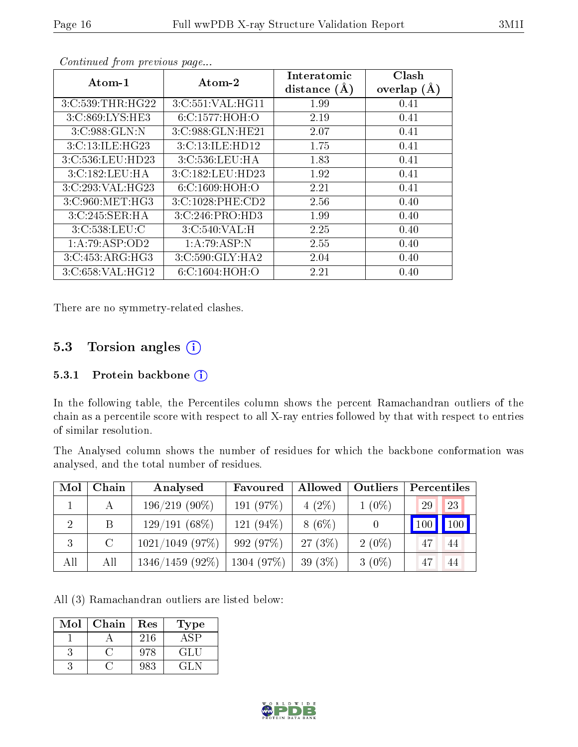|                     | o o noonada grommo provio ao pagoni |                |               |  |  |  |  |
|---------------------|-------------------------------------|----------------|---------------|--|--|--|--|
| Atom-1              | Atom-2                              | Interatomic    | Clash         |  |  |  |  |
|                     |                                     | distance $(A)$ | overlap $(A)$ |  |  |  |  |
| 3:C:539:THR:HG22    | 3:C:551:VAL:HG11                    | 1.99           | 0.41          |  |  |  |  |
| 3:C:869:LYS:HE3     | 6:C:1577:HOH:O                      | 2.19           | 0.41          |  |  |  |  |
| 3:C:988:GLN:N       | 3:C:988:GLN:HE21                    | 2.07           | 0.41          |  |  |  |  |
| 3: C: 13: ILE: HG23 | 3:C:13:ILE:HD12                     | 1.75           | 0.41          |  |  |  |  |
| 3:C:536:LEU:HD23    | 3:C:536:LEU:HA                      | 1.83           | 0.41          |  |  |  |  |
| 3:C:182:LEU:HA      | 3:C:182:LEU:HD23                    | 1.92           | 0.41          |  |  |  |  |
| 3:C:293:VAL:HG23    | 6: C: 1609: HOH:O                   | 2.21           | 0.41          |  |  |  |  |
| 3:C:960:MET:HG3     | 3:C:1028:PHE:CD2                    | 2.56           | 0.40          |  |  |  |  |
| 3:C:245:SER:HA      | 3:C:246:PRO:HD3                     | 1.99           | 0.40          |  |  |  |  |
| 3:C:538:LEU:C       | 3:C:540:VAL:H                       | 2.25           | 0.40          |  |  |  |  |
| 1:A:79:ASP:OD2      | 1:A:79:ASP:N                        | 2.55           | 0.40          |  |  |  |  |
| 3:C:453:ARG:HG3     | 3:C:590:GLY:HA2                     | 2.04           | 0.40          |  |  |  |  |
| 3:C:658:VAL:HG12    | 6: C: 1604: HOH:O                   | 2.21           | 0.40          |  |  |  |  |

There are no symmetry-related clashes.

#### 5.3 Torsion angles  $(i)$

#### 5.3.1 Protein backbone (i)

In the following table, the Percentiles column shows the percent Ramachandran outliers of the chain as a percentile score with respect to all X-ray entries followed by that with respect to entries of similar resolution.

The Analysed column shows the number of residues for which the backbone conformation was analysed, and the total number of residues.

| Mol | Chain         | Analysed          | Favoured     | Allowed   | Outliers | Percentiles |                    |
|-----|---------------|-------------------|--------------|-----------|----------|-------------|--------------------|
|     |               | $196/219(90\%)$   | 191 (97%)    | $4(2\%)$  | $1(0\%)$ | 29          | 23                 |
|     | B             | $129/191(68\%)$   | 121 $(94\%)$ | $8(6\%)$  |          | 100         | $\blacksquare$ 100 |
|     | $\mathcal{C}$ | $1021/1049$ (97%) | 992 (97%)    | $27(3\%)$ | $2(0\%)$ | 47          | 44                 |
| All | All           | $1346/1459(92\%)$ | 1304(97%)    | 39 $(3%)$ | $3(0\%)$ | 47          | -44                |

All (3) Ramachandran outliers are listed below:

| $\operatorname{Mol}$ | Chain | Res | l'ype |
|----------------------|-------|-----|-------|
|                      |       | 216 |       |
|                      |       | 978 | GLU   |
|                      |       | 983 | (1.1) |

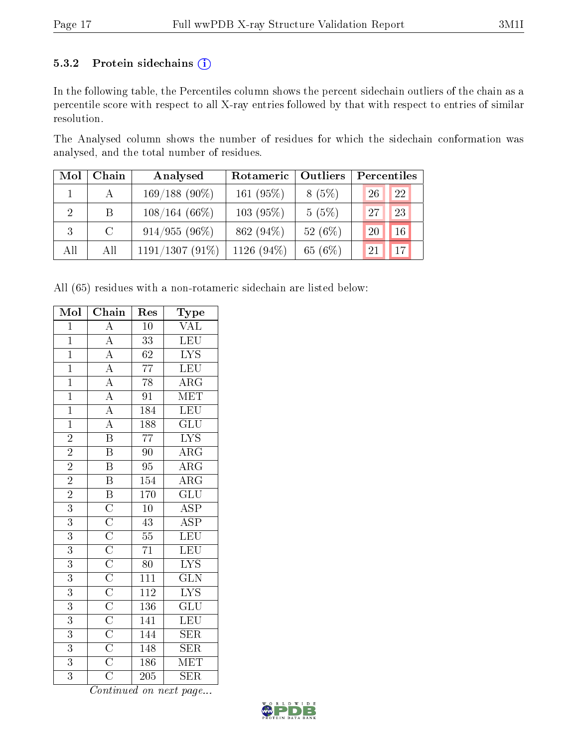#### 5.3.2 Protein sidechains (i)

In the following table, the Percentiles column shows the percent sidechain outliers of the chain as a percentile score with respect to all X-ray entries followed by that with respect to entries of similar resolution.

The Analysed column shows the number of residues for which the sidechain conformation was analysed, and the total number of residues.

| Mol                         | Chain         | Analysed          | Rotameric     | Outliers   | Percentiles |
|-----------------------------|---------------|-------------------|---------------|------------|-------------|
|                             |               | $169/188(90\%)$   | 161 (95%)     | 8(5%)      | 22<br>26    |
| $\mathcal{D}_{\mathcal{L}}$ | B             | $108/164(66\%)$   | $103(95\%)$   | 5(5%)      | 23<br>27    |
| 3                           | $\mathcal{C}$ | $914/955(96\%)$   | 862 (94%)     | 52 $(6\%)$ | 16<br>20    |
| All                         | All           | $1191/1307(91\%)$ | 1126 $(94\%)$ | 65 (6%)    | 17<br>21    |

All (65) residues with a non-rotameric sidechain are listed below:

| Mol            | Chain                                                                                                                                                                                                                                                                                  | Res              | <b>Type</b>                                |
|----------------|----------------------------------------------------------------------------------------------------------------------------------------------------------------------------------------------------------------------------------------------------------------------------------------|------------------|--------------------------------------------|
| $\overline{1}$ | $\overline{A}$                                                                                                                                                                                                                                                                         | $\overline{10}$  | $\overline{\text{VAL}}$                    |
| $\mathbf{1}$   |                                                                                                                                                                                                                                                                                        | 33               | LEU                                        |
| $\overline{1}$ |                                                                                                                                                                                                                                                                                        | $\overline{62}$  | $\overline{\text{LYS}}$                    |
| $\overline{1}$ |                                                                                                                                                                                                                                                                                        | $\overline{77}$  | LEU                                        |
| $\overline{1}$ | $\frac{\overline{A}}{\overline{A}}$ $\frac{\overline{A}}{\overline{A}}$ $\frac{\overline{A}}{\overline{A}}$ $\frac{\overline{A}}{\overline{A}}$ $\frac{\overline{A}}{\overline{B}}$                                                                                                    | $\overline{78}$  | $\frac{\overline{\text{ARG}}}{\text{MET}}$ |
| $\overline{1}$ |                                                                                                                                                                                                                                                                                        | $\overline{91}$  |                                            |
| $\overline{1}$ |                                                                                                                                                                                                                                                                                        | 184              | LEU                                        |
| $\overline{1}$ |                                                                                                                                                                                                                                                                                        | 188              | $\overline{\text{GLU}}$                    |
| $\overline{2}$ |                                                                                                                                                                                                                                                                                        | $\overline{77}$  | $\overline{\text{LYS}}$                    |
| $\frac{2}{2}$  | $\overline{\mathbf{B}}$                                                                                                                                                                                                                                                                | $\overline{90}$  | $\overline{\rm ARG}$                       |
|                | $\overline{B}$                                                                                                                                                                                                                                                                         | $\overline{95}$  | $\overline{\rm ARG}$                       |
| $\overline{2}$ | $\overline{\mathbf{B}}$                                                                                                                                                                                                                                                                | 154              | $\overline{\rm{ARG}}$                      |
| $\overline{2}$ |                                                                                                                                                                                                                                                                                        | <b>170</b>       | $\overline{\mathrm{GLU}}$                  |
| $\overline{3}$ |                                                                                                                                                                                                                                                                                        | $\overline{10}$  | $\overline{\text{ASP}}$                    |
| $\overline{3}$ |                                                                                                                                                                                                                                                                                        | $\overline{43}$  | $\overline{\text{ASP}}$                    |
| $\overline{3}$ |                                                                                                                                                                                                                                                                                        | $\overline{55}$  | LEU                                        |
| $\overline{3}$ |                                                                                                                                                                                                                                                                                        | $\overline{71}$  | LEU                                        |
| $\overline{3}$ |                                                                                                                                                                                                                                                                                        | $\overline{80}$  | $\overline{\text{LYS}}$                    |
| $\overline{3}$ | $\frac{\fbox{B}}{\fbox{C}}\frac{\fbox{C}}{\fbox{C}}\frac{\fbox{C}}{\fbox{C}}\frac{\fbox{C}}{\fbox{C}}\frac{\fbox{C}}{\fbox{C}}\frac{\fbox{C}}{\fbox{C}}\frac{\fbox{C}}{\fbox{C}}\frac{\fbox{C}}{\fbox{C}}\frac{\fbox{C}}{\fbox{C}}\frac{\fbox{C}}{\fbox{C}}\frac{\fbox{C}}{\fbox{C}}}$ | $\overline{111}$ | $\overline{\text{GLN}}$                    |
| $\overline{3}$ |                                                                                                                                                                                                                                                                                        | $\overline{112}$ | $\overline{\text{LYS}}$                    |
| $\overline{3}$ |                                                                                                                                                                                                                                                                                        | 136              | $\overline{\text{GLU}}$                    |
| $\overline{3}$ |                                                                                                                                                                                                                                                                                        | 141              | LEU                                        |
| $\overline{3}$ |                                                                                                                                                                                                                                                                                        | 144              | $\overline{\text{SER}}$                    |
| $\overline{3}$ |                                                                                                                                                                                                                                                                                        | $\overline{148}$ | $\overline{\text{SER}}$                    |
| $\overline{3}$ |                                                                                                                                                                                                                                                                                        | 186              | $\overline{\text{MET}}$                    |
| $\overline{3}$ |                                                                                                                                                                                                                                                                                        | $\overline{205}$ | $\overline{\text{SER}}$                    |

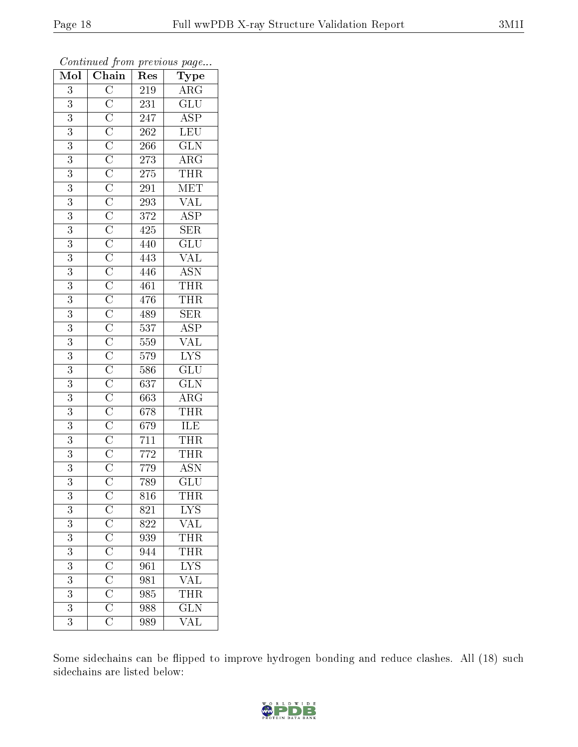| $\overline{\text{Mol}}$ | <u> v</u><br>Chain                                                                                                                                                                  | r -<br>Res        | $\mathbf{r}$ - $\mathbf{v}$<br>Type                   |
|-------------------------|-------------------------------------------------------------------------------------------------------------------------------------------------------------------------------------|-------------------|-------------------------------------------------------|
| 3                       |                                                                                                                                                                                     | 219               | $\overline{\text{ARG}}$                               |
| 3                       |                                                                                                                                                                                     | $\bf 231$         | $\overline{\text{GLU}}$                               |
| $\overline{3}$          |                                                                                                                                                                                     | $\overline{247}$  |                                                       |
| $\overline{3}$          |                                                                                                                                                                                     | $\overline{262}$  | $\frac{\overline{\text{ASP}}}{\text{LEV}}$            |
| $\overline{3}$          |                                                                                                                                                                                     | <b>266</b>        | $\overline{\text{GLN}}$                               |
| 3                       |                                                                                                                                                                                     | $\sqrt{273}$      | $\overline{\rm{ARG}}$                                 |
| 3                       |                                                                                                                                                                                     | 275               | $\widehat{\text{THR}}$                                |
| $\overline{3}$          |                                                                                                                                                                                     | 291               | MET                                                   |
| $\overline{3}$          |                                                                                                                                                                                     | 293               | <b>VAL</b>                                            |
| $\overline{3}$          |                                                                                                                                                                                     | 372               | $\overline{\text{ASP}}$                               |
| 3                       |                                                                                                                                                                                     | 425               | $\overline{\text{SER}}$                               |
| $\overline{3}$          |                                                                                                                                                                                     | 440               | $\overline{{\rm GLU}}$                                |
| $\overline{3}$          |                                                                                                                                                                                     | 443               | $\overline{\text{VAL}}$                               |
| 3                       |                                                                                                                                                                                     | 446               | $\overline{\text{ASN}}$                               |
| $\overline{3}$          |                                                                                                                                                                                     | 461               | $\frac{\overline{\text{THR}}}{\overline{\text{H}}$    |
| 3                       |                                                                                                                                                                                     | 476               | $\overline{\text{THR}}$                               |
| $\overline{3}$          |                                                                                                                                                                                     | 489               | $\overline{\text{SER}}$                               |
| 3                       |                                                                                                                                                                                     | $\overline{5}37$  | $\overline{\text{ASP}}$                               |
| $\overline{3}$          |                                                                                                                                                                                     | 559               | <b>VAL</b>                                            |
| $\overline{3}$          |                                                                                                                                                                                     | 579               | $\frac{\overline{\text{LYS}}}{\text{GLU}}$            |
| 3                       |                                                                                                                                                                                     | 586               |                                                       |
| $\overline{3}$          |                                                                                                                                                                                     | 637               |                                                       |
| $\overline{3}$          |                                                                                                                                                                                     | 663               | $\frac{\overline{\text{GLN}}}{\overline{\text{ARG}}}$ |
| $\overline{3}$          |                                                                                                                                                                                     | 678               | $\frac{\text{THR}}{\text{ILE}}$                       |
| $\overline{3}$          |                                                                                                                                                                                     | $\overline{6}$ 79 |                                                       |
| 3                       |                                                                                                                                                                                     | 711               | <b>THR</b>                                            |
| $\overline{3}$          |                                                                                                                                                                                     | 772               | THR                                                   |
| $\overline{3}$          |                                                                                                                                                                                     | 779               | $\overline{\mathrm{ASN}}$                             |
| $\overline{3}$          |                                                                                                                                                                                     | 789               | $\overline{{\rm GLU}}$                                |
| 3                       |                                                                                                                                                                                     | $816\,$           | THR                                                   |
| 3                       |                                                                                                                                                                                     | 821               | <b>LYS</b>                                            |
| $\overline{3}$          | $\frac{\overline{C}}{\overline{C}}$ $\frac{\overline{C}}{\overline{C}}$ $\frac{\overline{C}}{\overline{C}}$ $\frac{\overline{C}}{\overline{C}}$ $\frac{\overline{C}}{\overline{C}}$ | 822               | <b>VAL</b>                                            |
| 3                       |                                                                                                                                                                                     | 939               | THR                                                   |
| $\overline{3}$          |                                                                                                                                                                                     | 944               | THR                                                   |
| 3                       |                                                                                                                                                                                     | 961               | $\frac{\overline{\text{LYS}}}{\text{VAL}}}$           |
| 3                       |                                                                                                                                                                                     | 981               |                                                       |
| 3                       |                                                                                                                                                                                     | 985               | <b>THR</b>                                            |
| $\overline{3}$          |                                                                                                                                                                                     | 988               | $\overline{\text{GLN}}$                               |
| 3                       |                                                                                                                                                                                     | 989               | $\overline{\text{VAL}}$                               |

Some sidechains can be flipped to improve hydrogen bonding and reduce clashes. All (18) such sidechains are listed below:

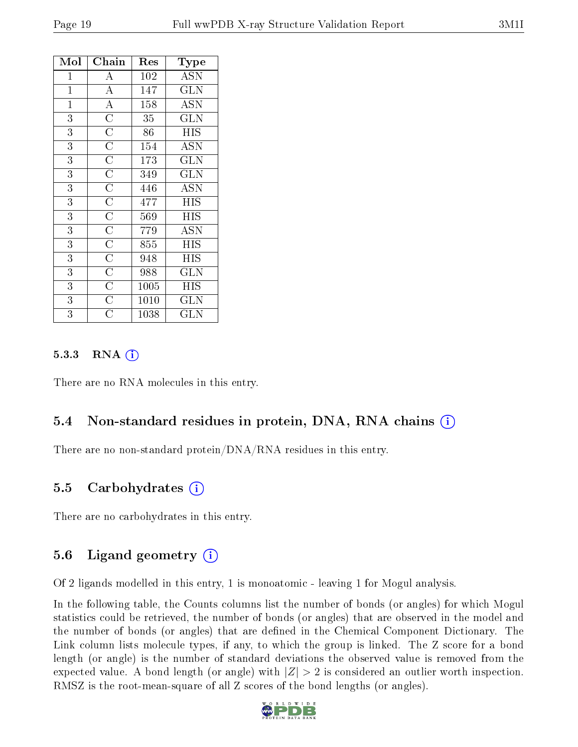| Mol            | Chain                 | $\operatorname{Res}% \left( \mathcal{N}\right) \equiv\operatorname{Res}(\mathcal{N}_{0})\cap\mathcal{N}_{1}$ | Type                               |
|----------------|-----------------------|--------------------------------------------------------------------------------------------------------------|------------------------------------|
| $\mathbf 1$    | А                     | 102                                                                                                          | $\overline{\mathrm{A}}\mathrm{SN}$ |
| $\overline{1}$ | $\overline{A}$        | 147                                                                                                          | $\overline{\text{GLN}}$            |
| $\overline{1}$ | $\overline{A}$        | 158                                                                                                          | <b>ASN</b>                         |
| $\overline{3}$ | $\overline{\rm C}$    | 35                                                                                                           | <b>GLN</b>                         |
| 3              | $\overline{\rm C}$    | 86                                                                                                           | HIS                                |
| $\overline{3}$ | $\overline{\text{C}}$ | 154                                                                                                          | $\overline{\mathrm{ASN}}$          |
| $\overline{3}$ | $\overline{\text{C}}$ | 173                                                                                                          | GLN                                |
| 3              | $\overline{\text{C}}$ | 349                                                                                                          | <b>GLN</b>                         |
| $\overline{3}$ | $\overline{\text{C}}$ | 446                                                                                                          | <b>ASN</b>                         |
| $\overline{3}$ | $\overline{\rm C}$    | 477                                                                                                          | <b>HIS</b>                         |
| $\overline{3}$ | $\overline{\rm C}$    | 569                                                                                                          | ΗIS                                |
| 3              | $\overline{C}$        | 779                                                                                                          | <b>ASN</b>                         |
| 3              | $\overline{C}$        | 855                                                                                                          | <b>HIS</b>                         |
| 3              | $\overline{\text{C}}$ | 948                                                                                                          | HIS                                |
| 3              | $\overline{\text{C}}$ | 988                                                                                                          | <b>GLN</b>                         |
| 3              | $\overline{\text{C}}$ | 1005                                                                                                         | ΗIS                                |
| 3              | $\overline{\rm C}$    | 1010                                                                                                         | <b>GLN</b>                         |
| 3              | $\overline{\rm C}$    | 1038                                                                                                         | $_{\rm GLN}$                       |

#### 5.3.3 RNA  $(i)$

There are no RNA molecules in this entry.

#### 5.4 Non-standard residues in protein, DNA, RNA chains (i)

There are no non-standard protein/DNA/RNA residues in this entry.

#### 5.5 Carbohydrates (i)

There are no carbohydrates in this entry.

#### 5.6 Ligand geometry  $(i)$

Of 2 ligands modelled in this entry, 1 is monoatomic - leaving 1 for Mogul analysis.

In the following table, the Counts columns list the number of bonds (or angles) for which Mogul statistics could be retrieved, the number of bonds (or angles) that are observed in the model and the number of bonds (or angles) that are dened in the Chemical Component Dictionary. The Link column lists molecule types, if any, to which the group is linked. The Z score for a bond length (or angle) is the number of standard deviations the observed value is removed from the expected value. A bond length (or angle) with  $|Z| > 2$  is considered an outlier worth inspection. RMSZ is the root-mean-square of all Z scores of the bond lengths (or angles).

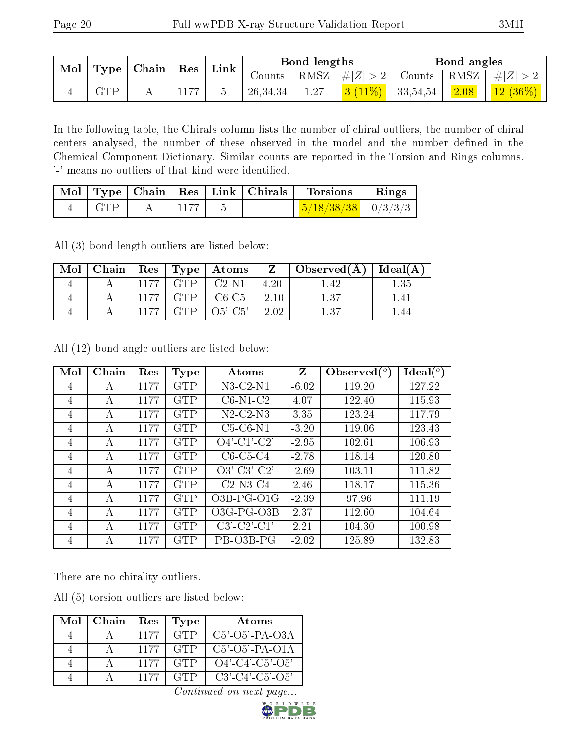|                                                                   |            |      |               |          | Bond lengths |  | Bond angles                                                            |                                                   |
|-------------------------------------------------------------------|------------|------|---------------|----------|--------------|--|------------------------------------------------------------------------|---------------------------------------------------|
| $\mid$ Mol $\mid$ Type $\mid$ Chain $\mid$ Res $\mid$ Link $\mid$ |            |      | $Counts^{-1}$ |          |              |  | $\vert$ RMSZ $\vert \#  Z  > 2$ Counts $\vert$ RMSZ $\vert \#  Z  > 2$ |                                                   |
|                                                                   | <b>GTP</b> | 1177 |               | 26,34,34 | 1.27         |  |                                                                        | $\frac{1}{13}(11\%)$   33,54,54   2.08   12 (36%) |

In the following table, the Chirals column lists the number of chiral outliers, the number of chiral centers analysed, the number of these observed in the model and the number defined in the Chemical Component Dictionary. Similar counts are reported in the Torsion and Rings columns. '-' means no outliers of that kind were identified.

|     |              |  | Mol   Type   Chain   Res   Link   Chirals   Torsions   Rings |  |
|-----|--------------|--|--------------------------------------------------------------|--|
| GTP | $\vert$ 1177 |  | $\frac{5}{18/38/38}$   0/3/3/3                               |  |

All (3) bond length outliers are listed below:

| Mol |      |            | Chain   Res   Type   Atoms $\frac{1}{2}$ |         | $\boxed{\mathrm{Z} \quad   \; \mathrm{Observed}(\mathrm{A})}$ | Ideal $(A)$ |
|-----|------|------------|------------------------------------------|---------|---------------------------------------------------------------|-------------|
|     | 1177 | <b>GTP</b> | $C2-N1$                                  | 4.20    |                                                               | 1.35        |
|     | 1177 | <b>GTP</b> | $C6-C5$                                  | $-2.10$ | 1.37                                                          | 141         |
|     | 1177 | <b>GTP</b> | $O5'$ -C5'                               | $-2.02$ | $\sqrt{27}$                                                   |             |

All (12) bond angle outliers are listed below:

| Mol            | Chain | Res  | <b>Type</b> | Atoms                       | Z       | Observed $\binom{o}{c}$ | $\text{Ideal}({}^o)$ |
|----------------|-------|------|-------------|-----------------------------|---------|-------------------------|----------------------|
| 4              | А     | 1177 | <b>GTP</b>  | $N3$ -C2- $N1$              | $-6.02$ | 119.20                  | 127.22               |
| $\overline{4}$ | А     | 1177 | <b>GTP</b>  | $C6-N1-C2$                  | 4.07    | 122.40                  | 115.93               |
| $\overline{4}$ | А     | 1177 | GTP         | $N2$ -C <sub>2</sub> - $N3$ | 3.35    | 123.24                  | 117.79               |
| 4              | A     | 1177 | <b>GTP</b>  | $C5-C6-N1$                  | $-3.20$ | 119.06                  | 123.43               |
| $\overline{4}$ | А     | 1177 | <b>GTP</b>  | $O4'$ -C1'-C2'              | $-2.95$ | 102.61                  | 106.93               |
| $\overline{4}$ | А     | 1177 | <b>GTP</b>  | $C6-C5-C4$                  | $-2.78$ | 118.14                  | 120.80               |
| 4              | A     | 1177 | <b>GTP</b>  | $O3'$ -C3'-C2'              | $-2.69$ | 103.11                  | 111.82               |
| $\overline{4}$ | А     | 1177 | <b>GTP</b>  | $C2-N3-C4$                  | 2.46    | 118.17                  | 115.36               |
| $\overline{4}$ | А     | 1177 | <b>GTP</b>  | $O3B$ -PG- $O1G$            | $-2.39$ | 97.96                   | 111.19               |
| 4              | А     | 1177 | <b>GTP</b>  | $O3G$ -PG- $O3B$            | 2.37    | 112.60                  | 104.64               |
| 4              | A     | 1177 | <b>GTP</b>  | $C3'-C2'-C1'$               | 2.21    | 104.30                  | 100.98               |
| 4              | А     | 1177 | <b>GTP</b>  | PB-03B-PG                   | $-2.02$ | 125.89                  | 132.83               |

There are no chirality outliers.

All (5) torsion outliers are listed below:

| Mol | Chain | Res  | Type       | Atoms             |
|-----|-------|------|------------|-------------------|
|     |       | 1177 | <b>GTP</b> | $C5'$ -O5'-PA-O3A |
|     |       | 1177 | <b>GTP</b> | $C5'-O5'-PA-O1A$  |
|     |       | 1177 | <b>GTP</b> | $O4'-C4'-C5'-O5'$ |
|     |       | 1177 | <b>GTP</b> | $C3'-C4'-C5'-O5'$ |

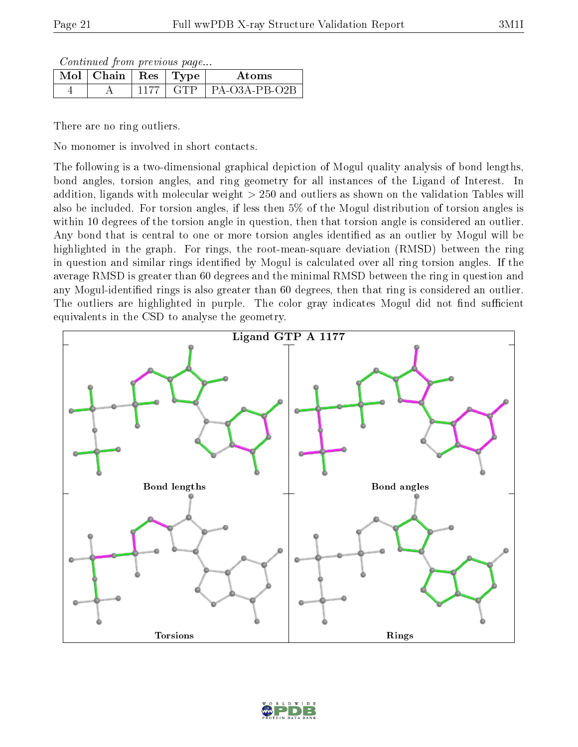Continued from previous page...

| . $\overline{\text{M}}$ ol   Chain   Res   Type ' |       | A toms            |
|---------------------------------------------------|-------|-------------------|
|                                                   | - GTP | + PA ()3A PR ()2B |

There are no ring outliers.

No monomer is involved in short contacts.

The following is a two-dimensional graphical depiction of Mogul quality analysis of bond lengths, bond angles, torsion angles, and ring geometry for all instances of the Ligand of Interest. In addition, ligands with molecular weight > 250 and outliers as shown on the validation Tables will also be included. For torsion angles, if less then 5% of the Mogul distribution of torsion angles is within 10 degrees of the torsion angle in question, then that torsion angle is considered an outlier. Any bond that is central to one or more torsion angles identified as an outlier by Mogul will be highlighted in the graph. For rings, the root-mean-square deviation (RMSD) between the ring in question and similar rings identified by Mogul is calculated over all ring torsion angles. If the average RMSD is greater than 60 degrees and the minimal RMSD between the ring in question and any Mogul-identied rings is also greater than 60 degrees, then that ring is considered an outlier. The outliers are highlighted in purple. The color gray indicates Mogul did not find sufficient equivalents in the CSD to analyse the geometry.



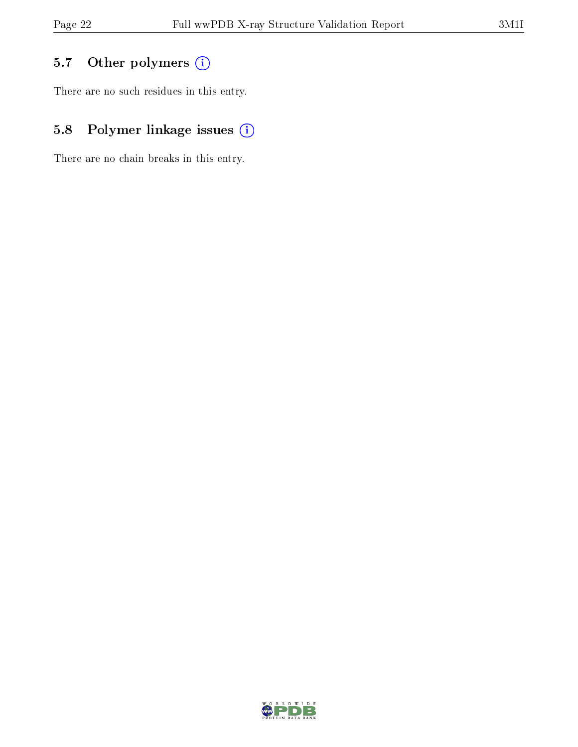## 5.7 [O](https://www.wwpdb.org/validation/2017/XrayValidationReportHelp#nonstandard_residues_and_ligands)ther polymers (i)

There are no such residues in this entry.

## 5.8 Polymer linkage issues (i)

There are no chain breaks in this entry.

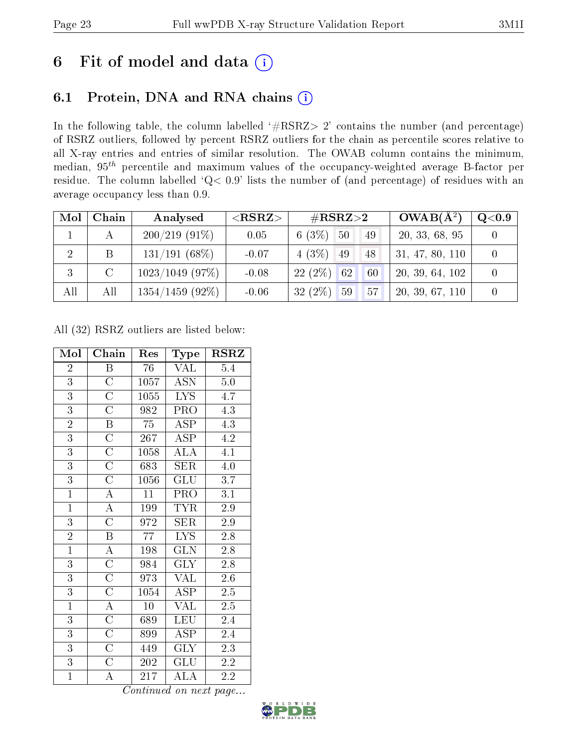## 6 Fit of model and data  $(i)$

### 6.1 Protein, DNA and RNA chains  $(i)$

In the following table, the column labelled  $#RSRZ> 2'$  contains the number (and percentage) of RSRZ outliers, followed by percent RSRZ outliers for the chain as percentile scores relative to all X-ray entries and entries of similar resolution. The OWAB column contains the minimum, median,  $95<sup>th</sup>$  percentile and maximum values of the occupancy-weighted average B-factor per residue. The column labelled ' $Q< 0.9$ ' lists the number of (and percentage) of residues with an average occupancy less than 0.9.

| Mol            | Chain         | Analysed           | ${ <\hspace{-1.5pt}{\mathrm{RSRZ}} \hspace{-1.5pt}>}$ | $\#\text{RSRZ}{>}2$                | $OWAB(A^2)$     | Q <sub>0.9</sub> |
|----------------|---------------|--------------------|-------------------------------------------------------|------------------------------------|-----------------|------------------|
|                | А             | $200/219(91\%)$    | 0.05                                                  | $6(3\%)$ 50<br>49                  | 20, 33, 68, 95  |                  |
| $\overline{2}$ | B             | $131/191(68\%)$    | $-0.07$                                               | $4(3\%)$ 49<br>48                  | 31, 47, 80, 110 |                  |
| 3              | $\mathcal{C}$ | $1023/1049$ (97\%) | $-0.08$                                               | $22(2\%)$ 62<br>60                 | 20, 39, 64, 102 |                  |
| All            | All           | $1354/1459$ (92%)  | $-0.06$                                               | $32(2\%)$<br>59<br>57 <sup>7</sup> | 20, 39, 67, 110 |                  |

All (32) RSRZ outliers are listed below:

| Mol            | Chain                   | Res             | Type                    | <b>RSRZ</b>      |
|----------------|-------------------------|-----------------|-------------------------|------------------|
| $\overline{2}$ | B                       | 76              | VAL                     | 5.4              |
| $\overline{3}$ | $\overline{\rm C}$      | 1057            | <b>ASN</b>              | $5.0\,$          |
| $\overline{3}$ | $\overline{\text{C}}$   | 1055            | <b>LYS</b>              | 4.7              |
| $\overline{3}$ | $\overline{\rm C}$      | 982             | $\overline{\text{PRO}}$ | $\overline{4.3}$ |
| $\overline{2}$ | $\, {\bf B}$            | 75              | ASP                     | 4.3              |
| $\overline{3}$ | $\overline{\rm C}$      | 267             | $\overline{\text{ASP}}$ | $\overline{4.2}$ |
| $\overline{3}$ | $\overline{\rm C}$      | 1058            | $\overline{\rm ALA}$    | 4.1              |
| $\overline{3}$ | $\overline{\rm C}$      | 683             | SER                     | 4.0              |
| $\overline{3}$ | $\overline{\rm C}$      | 1056            | GLU                     | 3.7              |
| $\overline{1}$ | $\overline{\rm A}$      | 11              | PRO                     | 3.1              |
| $\overline{1}$ | $\overline{A}$          | 199             | <b>TYR</b>              | $\overline{2.9}$ |
| $\overline{3}$ | $\overline{\rm C}$      | 972             | <b>SER</b>              | $2.9\,$          |
| $\frac{2}{1}$  | $\overline{\mathrm{B}}$ | $\overline{77}$ | $\overline{\text{LYS}}$ | 2.8              |
|                | $\overline{\rm A}$      | 198             | GLN                     | $2.8\,$          |
| $\overline{3}$ | $\overline{\text{C}}$   | 984             | <b>GLY</b>              | $\overline{2.8}$ |
| $\overline{3}$ | $\overline{\rm C}$      | 973             | $\text{VAL}\,$          | $2.6\,$          |
| $\overline{3}$ | $\overline{\rm C}$      | 1054            | <b>ASP</b>              | $2.5\,$          |
| $\overline{1}$ | $\overline{A}$          | $\overline{10}$ | $\overline{\text{VAL}}$ | $\overline{2.5}$ |
| $\overline{3}$ | $\overline{\rm C}$      | 689             | LEU                     | 2.4              |
| $\overline{3}$ | $\mathcal{C}$           | 899             | <b>ASP</b>              | 2.4              |
| $\overline{3}$ | $\overline{\rm C}$      | 449             | <b>GLY</b>              | 2.3              |
| $\overline{3}$ | $\overline{\rm C}$      | 202             | GLU                     | $2.2\,$          |
| $\overline{1}$ | $\overline{\rm A}$      | 217             | $\rm ALA$               | 2.2              |

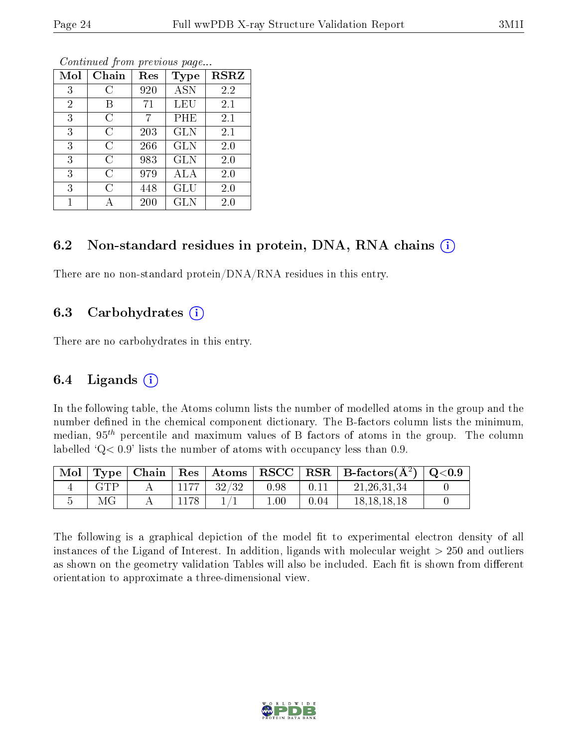| Mol            | Chain | Res | Type       | <b>RSRZ</b> |
|----------------|-------|-----|------------|-------------|
| 3              | C     | 920 | <b>ASN</b> | 2.2         |
| $\overline{2}$ | В     | 71  | LEU        | $2.1\,$     |
| 3              | C     |     | PHE        | 2.1         |
| 3              | С     | 203 | <b>GLN</b> | 2.1         |
| 3              | C     | 266 | <b>GLN</b> | 2.0         |
| 3              | C     | 983 | <b>GLN</b> | 2.0         |
| 3              | C     | 979 | ALA        | 2.0         |
| 3              | C     | 448 | GLU        | 2.0         |
| 1              |       | 200 | <b>GLN</b> | $2.0\,$     |

#### 6.2 Non-standard residues in protein, DNA, RNA chains  $(i)$

There are no non-standard protein/DNA/RNA residues in this entry.

#### 6.3 Carbohydrates  $(i)$

There are no carbohydrates in this entry.

#### 6.4 Ligands  $(i)$

In the following table, the Atoms column lists the number of modelled atoms in the group and the number defined in the chemical component dictionary. The B-factors column lists the minimum, median,  $95<sup>th</sup>$  percentile and maximum values of B factors of atoms in the group. The column labelled  $Q< 0.9$ ' lists the number of atoms with occupancy less than 0.9.

| Mol |      |      |       |      |      | $\langle$ Type   Chain   Res   Atoms   RSCC   RSR   B-factors $(A^2)$   Q<0.9 |  |
|-----|------|------|-------|------|------|-------------------------------------------------------------------------------|--|
|     | GTP. | 1177 | 32/32 | 0.98 |      | 21, 26, 31, 34                                                                |  |
|     |      |      |       |      | 0.04 | 18.18.18.18                                                                   |  |

The following is a graphical depiction of the model fit to experimental electron density of all instances of the Ligand of Interest. In addition, ligands with molecular weight  $> 250$  and outliers as shown on the geometry validation Tables will also be included. Each fit is shown from different orientation to approximate a three-dimensional view.